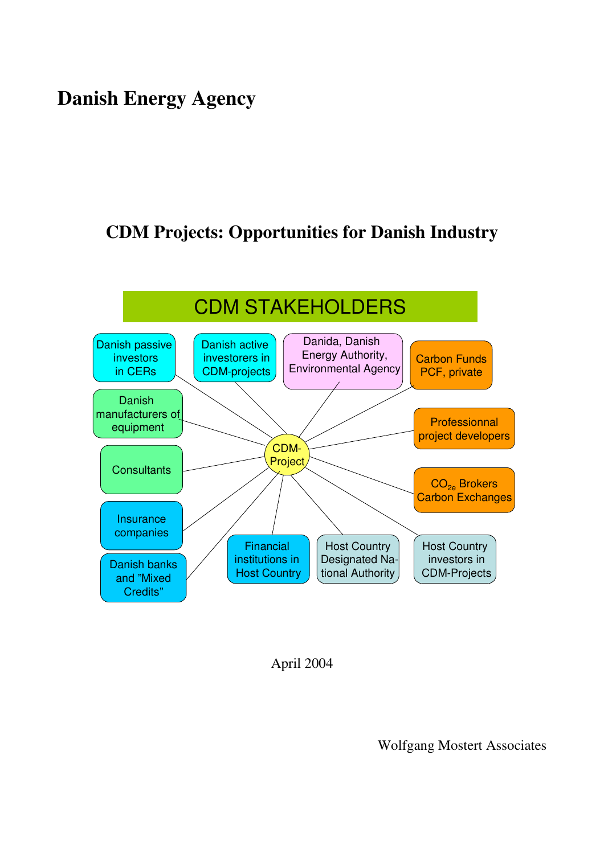# **Danish Energy Agency**

# **CDM Projects: Opportunities for Danish Industry**



April 2004

Wolfgang Mostert Associates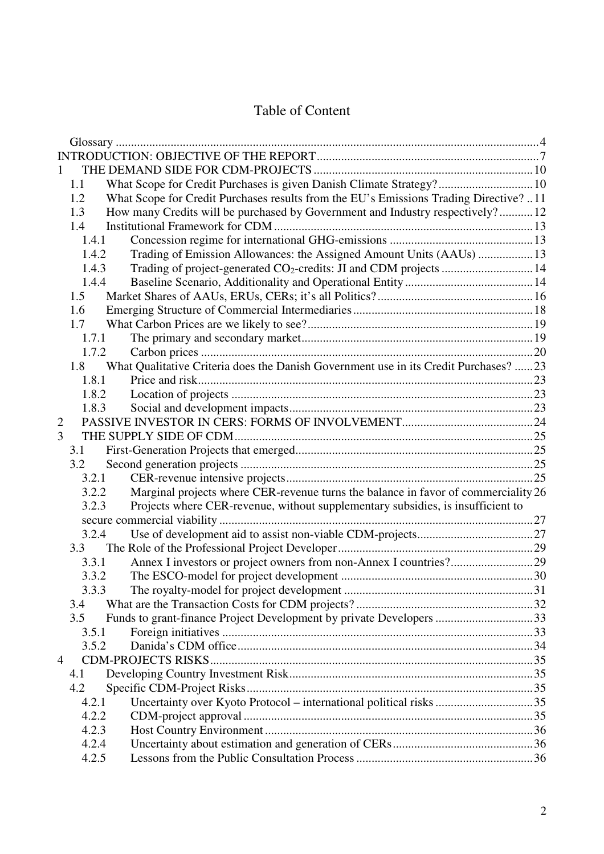# Table of Content

|                | 1.1   | What Scope for Credit Purchases is given Danish Climate Strategy? 10                 |  |
|----------------|-------|--------------------------------------------------------------------------------------|--|
|                | 1.2   | What Scope for Credit Purchases results from the EU's Emissions Trading Directive?11 |  |
|                | 1.3   | How many Credits will be purchased by Government and Industry respectively?12        |  |
|                | 1.4   |                                                                                      |  |
|                | 1.4.1 |                                                                                      |  |
|                | 1.4.2 |                                                                                      |  |
|                | 1.4.3 | Trading of project-generated CO <sub>2</sub> -credits: JI and CDM projects  14       |  |
|                | 1.4.4 |                                                                                      |  |
|                | 1.5   |                                                                                      |  |
|                | 1.6   |                                                                                      |  |
|                | 1.7   |                                                                                      |  |
|                | 1.7.1 |                                                                                      |  |
|                | 1.7.2 |                                                                                      |  |
|                | 1.8   | What Qualitative Criteria does the Danish Government use in its Credit Purchases? 23 |  |
|                | 1.8.1 |                                                                                      |  |
|                | 1.8.2 |                                                                                      |  |
|                | 1.8.3 |                                                                                      |  |
| $\overline{2}$ |       |                                                                                      |  |
| 3              |       |                                                                                      |  |
|                | 3.1   |                                                                                      |  |
|                | 3.2   |                                                                                      |  |
|                | 3.2.1 |                                                                                      |  |
|                | 3.2.2 | Marginal projects where CER-revenue turns the balance in favor of commerciality 26   |  |
|                | 3.2.3 | Projects where CER-revenue, without supplementary subsidies, is insufficient to      |  |
|                |       |                                                                                      |  |
|                | 3.2.4 |                                                                                      |  |
|                | 3.3   |                                                                                      |  |
|                | 3.3.1 |                                                                                      |  |
|                | 3.3.2 |                                                                                      |  |
|                | 333   |                                                                                      |  |
|                | 3.4   |                                                                                      |  |
|                | 3.5   | Funds to grant-finance Project Development by private Developers 33                  |  |
|                | 3.5.1 |                                                                                      |  |
|                | 3.5.2 |                                                                                      |  |
| $\overline{4}$ |       |                                                                                      |  |
|                | 4.1   |                                                                                      |  |
|                | 4.2   |                                                                                      |  |
|                | 4.2.1 |                                                                                      |  |
|                | 4.2.2 |                                                                                      |  |
|                | 4.2.3 |                                                                                      |  |
|                | 4.2.4 |                                                                                      |  |
|                | 4.2.5 |                                                                                      |  |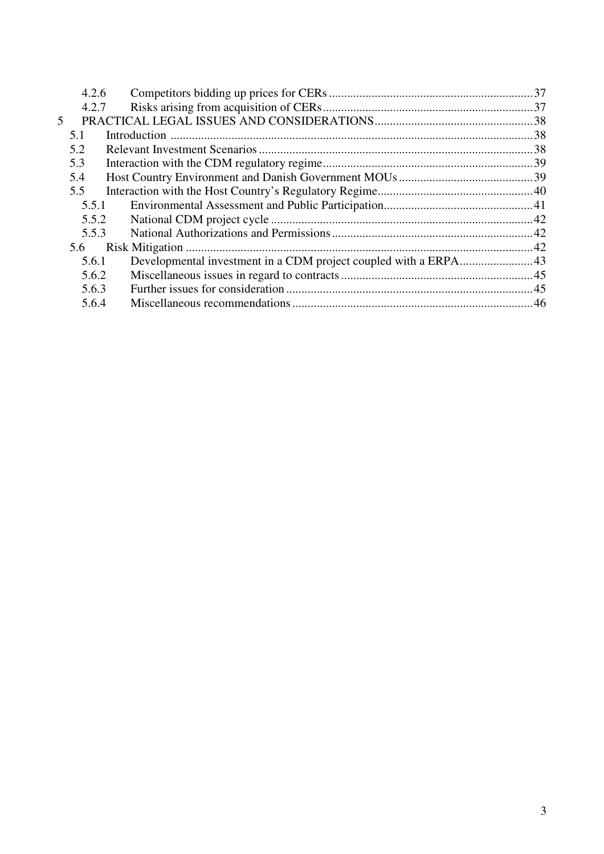|   | 4.2.6 |                                                                  |  |
|---|-------|------------------------------------------------------------------|--|
|   | 4.2.7 |                                                                  |  |
| 5 |       |                                                                  |  |
|   | 5.1   |                                                                  |  |
|   | 5.2   |                                                                  |  |
|   | 5.3   |                                                                  |  |
|   | 5.4   |                                                                  |  |
|   | 5.5   |                                                                  |  |
|   | 5.5.1 |                                                                  |  |
|   | 5.5.2 |                                                                  |  |
|   | 5.5.3 |                                                                  |  |
|   | 5.6   |                                                                  |  |
|   | 5.6.1 | Developmental investment in a CDM project coupled with a ERPA 43 |  |
|   | 5.6.2 |                                                                  |  |
|   | 5.6.3 |                                                                  |  |
|   | 5.6.4 |                                                                  |  |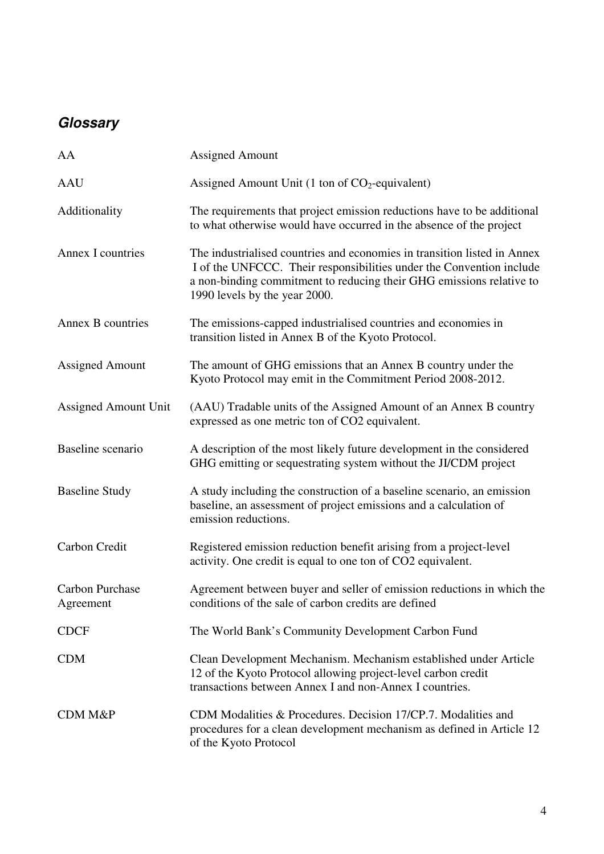# **Glossary**

| AA                                  | <b>Assigned Amount</b>                                                                                                                                                                                                                                    |
|-------------------------------------|-----------------------------------------------------------------------------------------------------------------------------------------------------------------------------------------------------------------------------------------------------------|
| <b>AAU</b>                          | Assigned Amount Unit (1 ton of $CO2$ -equivalent)                                                                                                                                                                                                         |
| Additionality                       | The requirements that project emission reductions have to be additional<br>to what otherwise would have occurred in the absence of the project                                                                                                            |
| Annex I countries                   | The industrialised countries and economies in transition listed in Annex<br>I of the UNFCCC. Their responsibilities under the Convention include<br>a non-binding commitment to reducing their GHG emissions relative to<br>1990 levels by the year 2000. |
| Annex B countries                   | The emissions-capped industrialised countries and economies in<br>transition listed in Annex B of the Kyoto Protocol.                                                                                                                                     |
| <b>Assigned Amount</b>              | The amount of GHG emissions that an Annex B country under the<br>Kyoto Protocol may emit in the Commitment Period 2008-2012.                                                                                                                              |
| <b>Assigned Amount Unit</b>         | (AAU) Tradable units of the Assigned Amount of an Annex B country<br>expressed as one metric ton of CO2 equivalent.                                                                                                                                       |
| Baseline scenario                   | A description of the most likely future development in the considered<br>GHG emitting or sequestrating system without the JI/CDM project                                                                                                                  |
| <b>Baseline Study</b>               | A study including the construction of a baseline scenario, an emission<br>baseline, an assessment of project emissions and a calculation of<br>emission reductions.                                                                                       |
| Carbon Credit                       | Registered emission reduction benefit arising from a project-level<br>activity. One credit is equal to one ton of CO2 equivalent.                                                                                                                         |
| <b>Carbon Purchase</b><br>Agreement | Agreement between buyer and seller of emission reductions in which the<br>conditions of the sale of carbon credits are defined                                                                                                                            |
| <b>CDCF</b>                         | The World Bank's Community Development Carbon Fund                                                                                                                                                                                                        |
| <b>CDM</b>                          | Clean Development Mechanism. Mechanism established under Article<br>12 of the Kyoto Protocol allowing project-level carbon credit<br>transactions between Annex I and non-Annex I countries.                                                              |
| <b>CDM M&amp;P</b>                  | CDM Modalities & Procedures. Decision 17/CP.7. Modalities and<br>procedures for a clean development mechanism as defined in Article 12<br>of the Kyoto Protocol                                                                                           |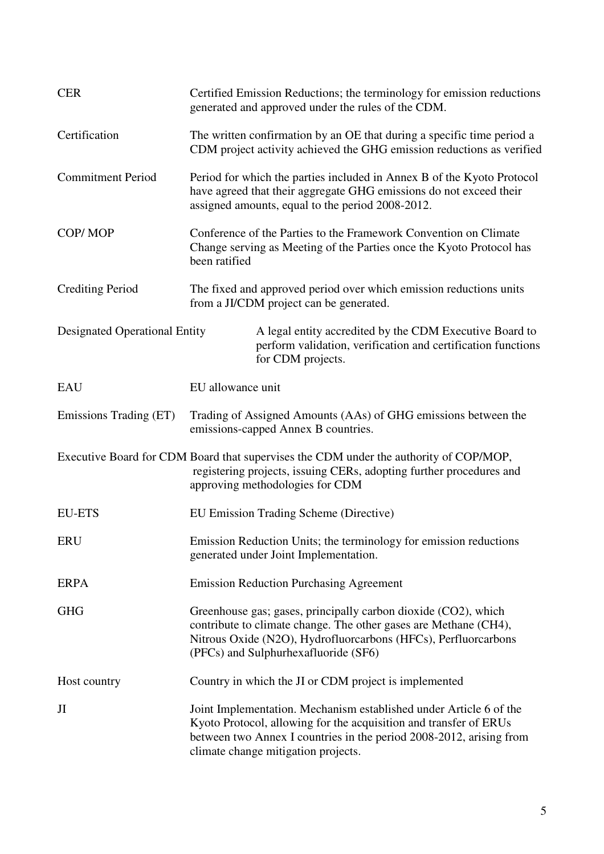| <b>CER</b>                           |                   | Certified Emission Reductions; the terminology for emission reductions<br>generated and approved under the rules of the CDM.                                                                                                                          |
|--------------------------------------|-------------------|-------------------------------------------------------------------------------------------------------------------------------------------------------------------------------------------------------------------------------------------------------|
| Certification                        |                   | The written confirmation by an OE that during a specific time period a<br>CDM project activity achieved the GHG emission reductions as verified                                                                                                       |
| <b>Commitment Period</b>             |                   | Period for which the parties included in Annex B of the Kyoto Protocol<br>have agreed that their aggregate GHG emissions do not exceed their<br>assigned amounts, equal to the period 2008-2012.                                                      |
| COP/MOP                              | been ratified     | Conference of the Parties to the Framework Convention on Climate<br>Change serving as Meeting of the Parties once the Kyoto Protocol has                                                                                                              |
| <b>Crediting Period</b>              |                   | The fixed and approved period over which emission reductions units<br>from a JI/CDM project can be generated.                                                                                                                                         |
| <b>Designated Operational Entity</b> |                   | A legal entity accredited by the CDM Executive Board to<br>perform validation, verification and certification functions<br>for CDM projects.                                                                                                          |
| <b>EAU</b>                           | EU allowance unit |                                                                                                                                                                                                                                                       |
| Emissions Trading (ET)               |                   | Trading of Assigned Amounts (AAs) of GHG emissions between the<br>emissions-capped Annex B countries.                                                                                                                                                 |
|                                      |                   | Executive Board for CDM Board that supervises the CDM under the authority of COP/MOP,<br>registering projects, issuing CERs, adopting further procedures and<br>approving methodologies for CDM                                                       |
| <b>EU-ETS</b>                        |                   | EU Emission Trading Scheme (Directive)                                                                                                                                                                                                                |
| <b>ERU</b>                           |                   | Emission Reduction Units; the terminology for emission reductions<br>generated under Joint Implementation.                                                                                                                                            |
| <b>ERPA</b>                          |                   | <b>Emission Reduction Purchasing Agreement</b>                                                                                                                                                                                                        |
| <b>GHG</b>                           |                   | Greenhouse gas; gases, principally carbon dioxide (CO2), which<br>contribute to climate change. The other gases are Methane (CH4),<br>Nitrous Oxide (N2O), Hydrofluorcarbons (HFCs), Perfluorcarbons<br>(PFCs) and Sulphurhexafluoride (SF6)          |
| Host country                         |                   | Country in which the JI or CDM project is implemented                                                                                                                                                                                                 |
| JI                                   |                   | Joint Implementation. Mechanism established under Article 6 of the<br>Kyoto Protocol, allowing for the acquisition and transfer of ERUs<br>between two Annex I countries in the period 2008-2012, arising from<br>climate change mitigation projects. |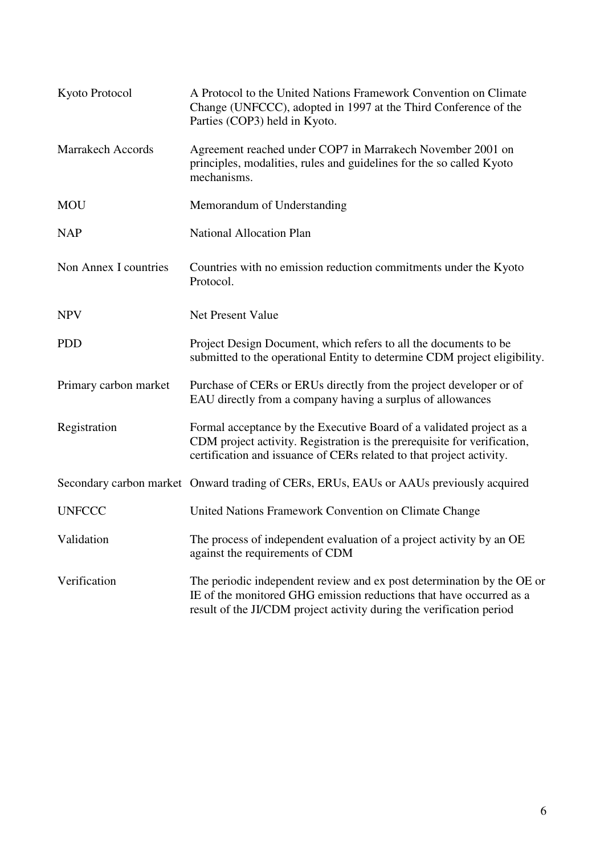| Kyoto Protocol           | A Protocol to the United Nations Framework Convention on Climate<br>Change (UNFCCC), adopted in 1997 at the Third Conference of the<br>Parties (COP3) held in Kyoto.                                                     |
|--------------------------|--------------------------------------------------------------------------------------------------------------------------------------------------------------------------------------------------------------------------|
| <b>Marrakech Accords</b> | Agreement reached under COP7 in Marrakech November 2001 on<br>principles, modalities, rules and guidelines for the so called Kyoto<br>mechanisms.                                                                        |
| <b>MOU</b>               | Memorandum of Understanding                                                                                                                                                                                              |
| <b>NAP</b>               | <b>National Allocation Plan</b>                                                                                                                                                                                          |
| Non Annex I countries    | Countries with no emission reduction commitments under the Kyoto<br>Protocol.                                                                                                                                            |
| <b>NPV</b>               | Net Present Value                                                                                                                                                                                                        |
| <b>PDD</b>               | Project Design Document, which refers to all the documents to be<br>submitted to the operational Entity to determine CDM project eligibility.                                                                            |
| Primary carbon market    | Purchase of CERs or ERUs directly from the project developer or of<br>EAU directly from a company having a surplus of allowances                                                                                         |
| Registration             | Formal acceptance by the Executive Board of a validated project as a<br>CDM project activity. Registration is the prerequisite for verification,<br>certification and issuance of CERs related to that project activity. |
|                          | Secondary carbon market Onward trading of CERs, ERUs, EAUs or AAUs previously acquired                                                                                                                                   |
| <b>UNFCCC</b>            | United Nations Framework Convention on Climate Change                                                                                                                                                                    |
| Validation               | The process of independent evaluation of a project activity by an OE<br>against the requirements of CDM                                                                                                                  |
| Verification             | The periodic independent review and ex post determination by the OE or<br>IE of the monitored GHG emission reductions that have occurred as a<br>result of the JI/CDM project activity during the verification period    |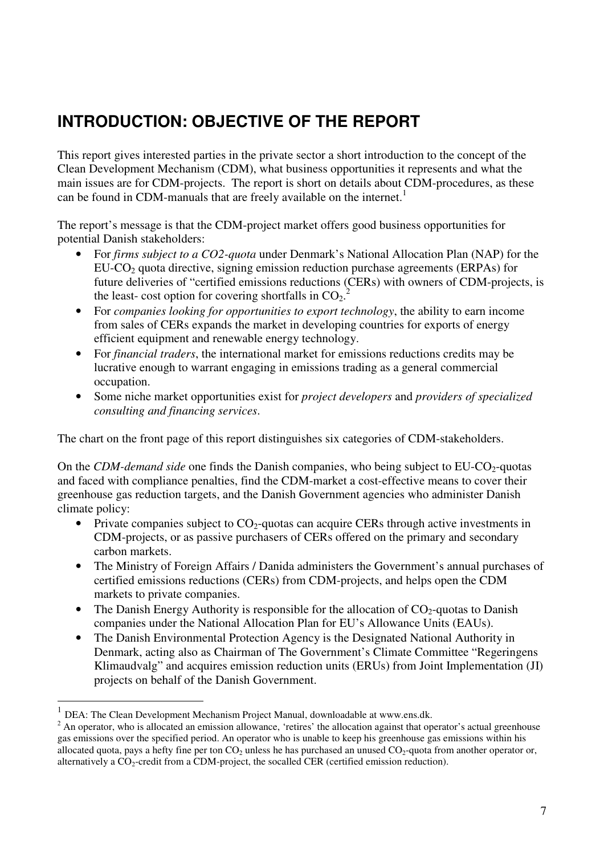# **INTRODUCTION: OBJECTIVE OF THE REPORT**

This report gives interested parties in the private sector a short introduction to the concept of the Clean Development Mechanism (CDM), what business opportunities it represents and what the main issues are for CDM-projects. The report is short on details about CDM-procedures, as these can be found in CDM-manuals that are freely available on the internet.<sup>1</sup>

The report's message is that the CDM-project market offers good business opportunities for potential Danish stakeholders:

- For *firms subject to a CO2-quota* under Denmark's National Allocation Plan (NAP) for the  $EU-CO<sub>2</sub>$  quota directive, signing emission reduction purchase agreements (ERPAs) for future deliveries of "certified emissions reductions (CERs) with owners of CDM-projects, is the least- cost option for covering shortfalls in  $CO_2$ .<sup>2</sup>
- For *companies looking for opportunities to export technology*, the ability to earn income from sales of CERs expands the market in developing countries for exports of energy efficient equipment and renewable energy technology.
- For *financial traders*, the international market for emissions reductions credits may be lucrative enough to warrant engaging in emissions trading as a general commercial occupation.
- Some niche market opportunities exist for *project developers* and *providers of specialized consulting and financing services*.

The chart on the front page of this report distinguishes six categories of CDM-stakeholders.

On the *CDM-demand side* one finds the Danish companies, who being subject to EU-CO<sub>2</sub>-quotas and faced with compliance penalties, find the CDM-market a cost-effective means to cover their greenhouse gas reduction targets, and the Danish Government agencies who administer Danish climate policy:

- Private companies subject to  $CO<sub>2</sub>$ -quotas can acquire CERs through active investments in CDM-projects, or as passive purchasers of CERs offered on the primary and secondary carbon markets.
- The Ministry of Foreign Affairs / Danida administers the Government's annual purchases of certified emissions reductions (CERs) from CDM-projects, and helps open the CDM markets to private companies.
- The Danish Energy Authority is responsible for the allocation of  $CO<sub>2</sub>$ -quotas to Danish companies under the National Allocation Plan for EU's Allowance Units (EAUs).
- The Danish Environmental Protection Agency is the Designated National Authority in Denmark, acting also as Chairman of The Government's Climate Committee "Regeringens Klimaudvalg" and acquires emission reduction units (ERUs) from Joint Implementation (JI) projects on behalf of the Danish Government.

 $\overline{a}$ 

<sup>1</sup> DEA: The Clean Development Mechanism Project Manual, downloadable at www.ens.dk.

 $2^2$  An operator, who is allocated an emission allowance, 'retires' the allocation against that operator's actual greenhouse gas emissions over the specified period. An operator who is unable to keep his greenhouse gas emissions within his allocated quota, pays a hefty fine per ton  $CO<sub>2</sub>$  unless he has purchased an unused  $CO<sub>2</sub>$ -quota from another operator or, alternatively a CO2-credit from a CDM-project, the socalled CER (certified emission reduction).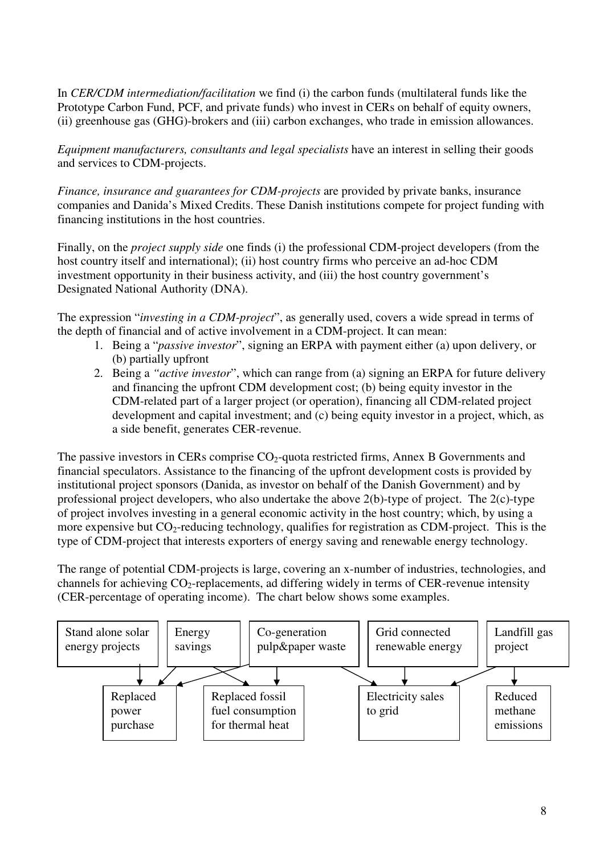In *CER/CDM intermediation/facilitation* we find (i) the carbon funds (multilateral funds like the Prototype Carbon Fund, PCF, and private funds) who invest in CERs on behalf of equity owners. (ii) greenhouse gas (GHG)-brokers and (iii) carbon exchanges, who trade in emission allowances.

*Equipment manufacturers, consultants and legal specialists* have an interest in selling their goods and services to CDM-projects.

*Finance, insurance and guarantees for CDM-projects* are provided by private banks, insurance companies and Danida's Mixed Credits. These Danish institutions compete for project funding with financing institutions in the host countries.

Finally, on the *project supply side* one finds (i) the professional CDM-project developers (from the host country itself and international); (ii) host country firms who perceive an ad-hoc CDM investment opportunity in their business activity, and (iii) the host country government's Designated National Authority (DNA).

The expression "*investing in a CDM-project*", as generally used, covers a wide spread in terms of the depth of financial and of active involvement in a CDM-project. It can mean:

- 1. Being a "*passive investor*", signing an ERPA with payment either (a) upon delivery, or (b) partially upfront
- 2. Being a *"active investor*", which can range from (a) signing an ERPA for future delivery and financing the upfront CDM development cost; (b) being equity investor in the CDM-related part of a larger project (or operation), financing all CDM-related project development and capital investment; and (c) being equity investor in a project, which, as a side benefit, generates CER-revenue.

The passive investors in CERs comprise  $CO<sub>2</sub>$ -quota restricted firms, Annex B Governments and financial speculators. Assistance to the financing of the upfront development costs is provided by institutional project sponsors (Danida, as investor on behalf of the Danish Government) and by professional project developers, who also undertake the above 2(b)-type of project. The 2(c)-type of project involves investing in a general economic activity in the host country; which, by using a more expensive but  $CO_2$ -reducing technology, qualifies for registration as CDM-project. This is the type of CDM-project that interests exporters of energy saving and renewable energy technology.

The range of potential CDM-projects is large, covering an x-number of industries, technologies, and channels for achieving  $CO_2$ -replacements, ad differing widely in terms of CER-revenue intensity (CER-percentage of operating income). The chart below shows some examples.

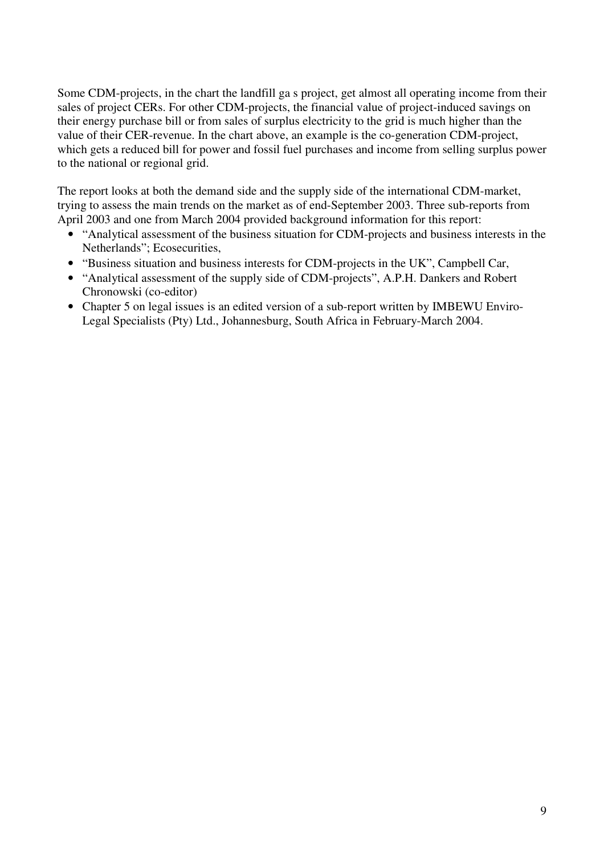Some CDM-projects, in the chart the landfill ga s project, get almost all operating income from their sales of project CERs. For other CDM-projects, the financial value of project-induced savings on their energy purchase bill or from sales of surplus electricity to the grid is much higher than the value of their CER-revenue. In the chart above, an example is the co-generation CDM-project, which gets a reduced bill for power and fossil fuel purchases and income from selling surplus power to the national or regional grid.

The report looks at both the demand side and the supply side of the international CDM-market, trying to assess the main trends on the market as of end-September 2003. Three sub-reports from April 2003 and one from March 2004 provided background information for this report:

- "Analytical assessment of the business situation for CDM-projects and business interests in the Netherlands"; Ecosecurities,
- "Business situation and business interests for CDM-projects in the UK", Campbell Car,
- "Analytical assessment of the supply side of CDM-projects", A.P.H. Dankers and Robert Chronowski (co-editor)
- Chapter 5 on legal issues is an edited version of a sub-report written by IMBEWU Enviro-Legal Specialists (Pty) Ltd., Johannesburg, South Africa in February-March 2004.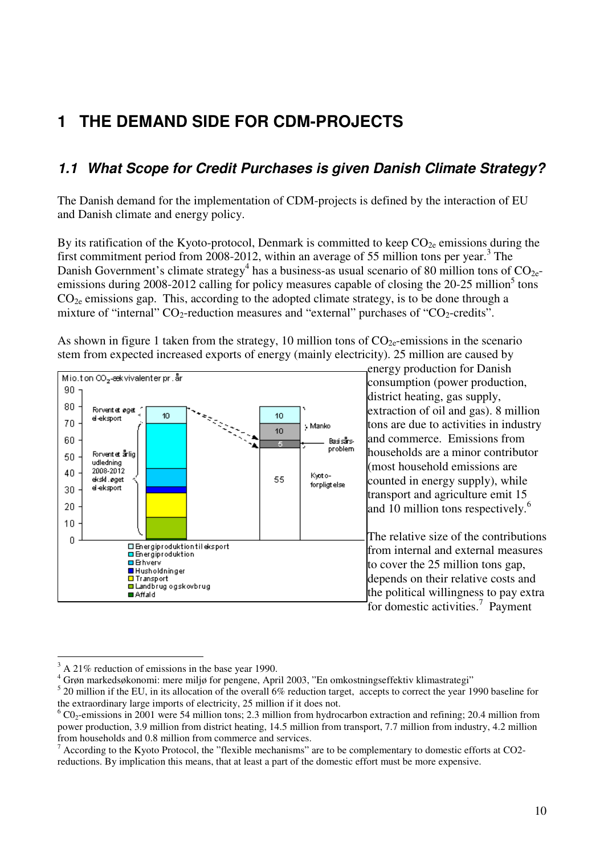# **1 THE DEMAND SIDE FOR CDM-PROJECTS**

# **1.1 What Scope for Credit Purchases is given Danish Climate Strategy?**

The Danish demand for the implementation of CDM-projects is defined by the interaction of EU and Danish climate and energy policy.

By its ratification of the Kyoto-protocol, Denmark is committed to keep  $CO_{2e}$  emissions during the first commitment period from 2008-2012, within an average of 55 million tons per year.<sup>3</sup> The Danish Government's climate strategy<sup>4</sup> has a business-as usual scenario of 80 million tons of  $CO_{2e}$ emissions during 2008-2012 calling for policy measures capable of closing the 20-25 million<sup>5</sup> tons  $CO<sub>2e</sub>$  emissions gap. This, according to the adopted climate strategy, is to be done through a mixture of "internal"  $CO_2$ -reduction measures and "external" purchases of " $CO_2$ -credits".

As shown in figure 1 taken from the strategy, 10 million tons of  $CO_{2}$ -emissions in the scenario stem from expected increased exports of energy (mainly electricity). 25 million are caused by



energy production for Danish consumption (power production, district heating, gas supply, extraction of oil and gas). 8 million tons are due to activities in industry and commerce. Emissions from households are a minor contributor (most household emissions are counted in energy supply), while transport and agriculture emit 15 and 10 million tons respectively. $6\%$ 

The relative size of the contributions from internal and external measures to cover the 25 million tons gap, depends on their relative costs and the political willingness to pay extra for domestic activities.<sup>7</sup> Payment

<sup>&</sup>lt;sup>3</sup> A 21% reduction of emissions in the base year 1990.

<sup>4</sup> Grøn markedsøkonomi: mere miljø for pengene, April 2003, "En omkostningseffektiv klimastrategi"

 $5$  20 million if the EU, in its allocation of the overall 6% reduction target, accepts to correct the year 1990 baseline for the extraordinary large imports of electricity, 25 million if it does not.

 $6$  CO<sub>2</sub>-emissions in 2001 were 54 million tons; 2.3 million from hydrocarbon extraction and refining; 20.4 million from power production, 3.9 million from district heating, 14.5 million from transport, 7.7 million from industry, 4.2 million from households and 0.8 million from commerce and services.

 $<sup>7</sup>$  According to the Kyoto Protocol, the "flexible mechanisms" are to be complementary to domestic efforts at CO2-</sup> reductions. By implication this means, that at least a part of the domestic effort must be more expensive.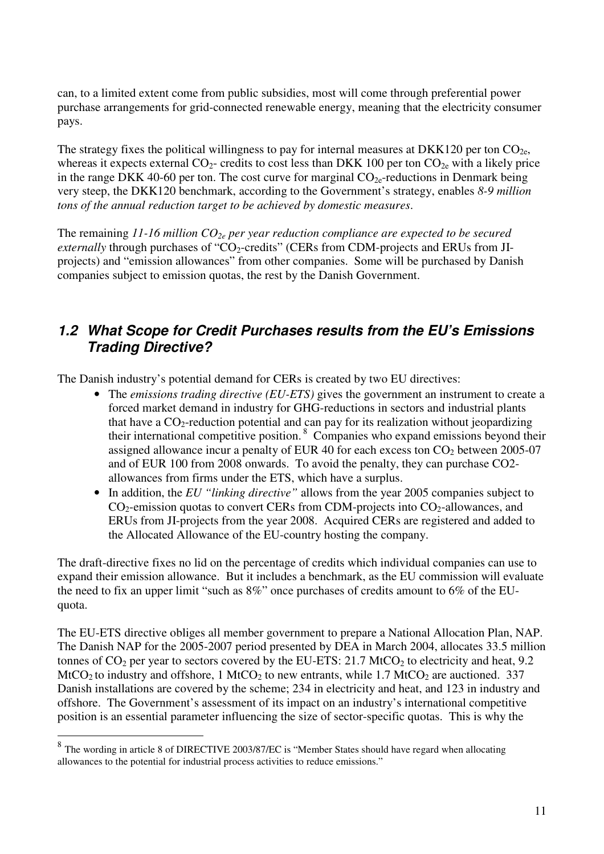can, to a limited extent come from public subsidies, most will come through preferential power purchase arrangements for grid-connected renewable energy, meaning that the electricity consumer pays.

The strategy fixes the political willingness to pay for internal measures at DKK120 per ton  $CO<sub>2e</sub>$ , whereas it expects external  $CO_2$ - credits to cost less than DKK 100 per ton  $CO_{2e}$  with a likely price in the range DKK 40-60 per ton. The cost curve for marginal  $CO_{2e}$ -reductions in Denmark being very steep, the DKK120 benchmark, according to the Government's strategy, enables *8-9 million tons of the annual reduction target to be achieved by domestic measures*.

The remaining *11-16 million CO2e per year reduction compliance are expected to be secured externally* through purchases of " $CO_2$ -credits" (CERs from CDM-projects and ERUs from JIprojects) and "emission allowances" from other companies. Some will be purchased by Danish companies subject to emission quotas, the rest by the Danish Government.

## **1.2 What Scope for Credit Purchases results from the EU's Emissions Trading Directive?**

The Danish industry's potential demand for CERs is created by two EU directives:

- The *emissions trading directive (EU-ETS)* gives the government an instrument to create a forced market demand in industry for GHG-reductions in sectors and industrial plants that have a  $CO_2$ -reduction potential and can pay for its realization without jeopardizing their international competitive position. $8$  Companies who expand emissions beyond their assigned allowance incur a penalty of EUR 40 for each excess ton  $CO<sub>2</sub>$  between 2005-07 and of EUR 100 from 2008 onwards. To avoid the penalty, they can purchase CO2 allowances from firms under the ETS, which have a surplus.
- In addition, the *EU "linking directive"* allows from the year 2005 companies subject to  $CO<sub>2</sub>$ -emission quotas to convert CERs from CDM-projects into  $CO<sub>2</sub>$ -allowances, and ERUs from JI-projects from the year 2008. Acquired CERs are registered and added to the Allocated Allowance of the EU-country hosting the company.

The draft-directive fixes no lid on the percentage of credits which individual companies can use to expand their emission allowance. But it includes a benchmark, as the EU commission will evaluate the need to fix an upper limit "such as 8%" once purchases of credits amount to 6% of the EUquota.

The EU-ETS directive obliges all member government to prepare a National Allocation Plan, NAP. The Danish NAP for the 2005-2007 period presented by DEA in March 2004, allocates 33.5 million tonnes of  $CO_2$  per year to sectors covered by the EU-ETS: 21.7 MtCO<sub>2</sub> to electricity and heat, 9.2 MtCO<sub>2</sub> to industry and offshore, 1 MtCO<sub>2</sub> to new entrants, while 1.7 MtCO<sub>2</sub> are auctioned. 337 Danish installations are covered by the scheme; 234 in electricity and heat, and 123 in industry and offshore. The Government's assessment of its impact on an industry's international competitive position is an essential parameter influencing the size of sector-specific quotas. This is why the

 $\overline{a}$ 

 $8$  The wording in article 8 of DIRECTIVE 2003/87/EC is "Member States should have regard when allocating allowances to the potential for industrial process activities to reduce emissions."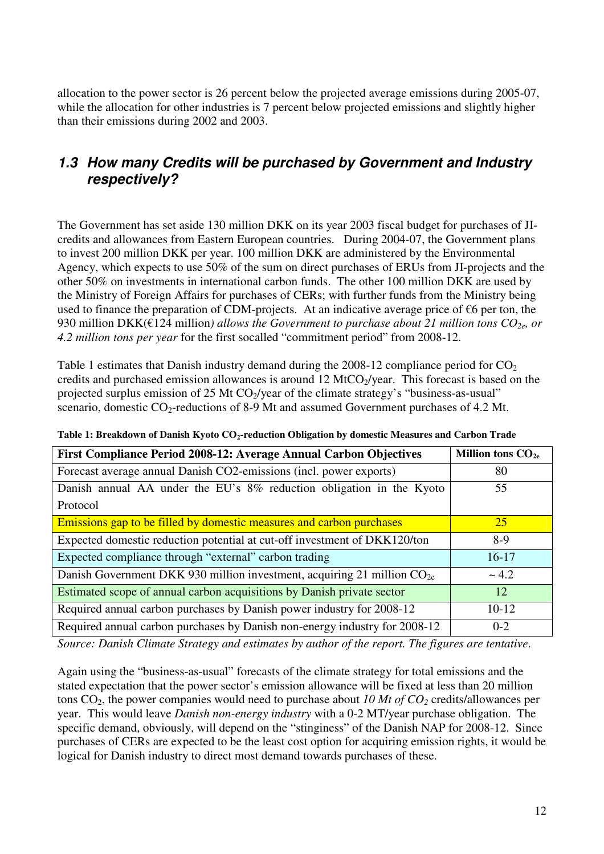allocation to the power sector is 26 percent below the projected average emissions during 2005-07, while the allocation for other industries is 7 percent below projected emissions and slightly higher than their emissions during 2002 and 2003.

## **1.3 How many Credits will be purchased by Government and Industry respectively?**

The Government has set aside 130 million DKK on its year 2003 fiscal budget for purchases of JIcredits and allowances from Eastern European countries. During 2004-07, the Government plans to invest 200 million DKK per year. 100 million DKK are administered by the Environmental Agency, which expects to use 50% of the sum on direct purchases of ERUs from JI-projects and the other 50% on investments in international carbon funds. The other 100 million DKK are used by the Ministry of Foreign Affairs for purchases of CERs; with further funds from the Ministry being used to finance the preparation of CDM-projects. At an indicative average price of  $\epsilon$ 6 per ton, the 930 million DKK( $\epsilon$ 124 million) allows the Government to purchase about 21 million tons  $CO_{2e}$ , or *4.2 million tons per year* for the first socalled "commitment period" from 2008-12.

Table 1 estimates that Danish industry demand during the  $2008-12$  compliance period for  $CO<sub>2</sub>$ credits and purchased emission allowances is around  $12 \text{ MtCO}_2$ /year. This forecast is based on the projected surplus emission of 25 Mt CO<sub>2</sub>/year of the climate strategy's "business-as-usual" scenario, domestic  $CO_2$ -reductions of 8-9 Mt and assumed Government purchases of 4.2 Mt.

| First Compliance Period 2008-12: Average Annual Carbon Objectives          | Million tons $CO2e$ |
|----------------------------------------------------------------------------|---------------------|
| Forecast average annual Danish CO2-emissions (incl. power exports)         | 80                  |
| Danish annual AA under the EU's 8% reduction obligation in the Kyoto       | 55                  |
| Protocol                                                                   |                     |
| Emissions gap to be filled by domestic measures and carbon purchases       | 25                  |
| Expected domestic reduction potential at cut-off investment of DKK120/ton  | $8-9$               |
| Expected compliance through "external" carbon trading                      | $16-17$             |
| Danish Government DKK 930 million investment, acquiring 21 million $CO2e$  | ~1.2                |
| Estimated scope of annual carbon acquisitions by Danish private sector     | 12                  |
| Required annual carbon purchases by Danish power industry for 2008-12      | $10-12$             |
| Required annual carbon purchases by Danish non-energy industry for 2008-12 | $0 - 2$             |

**Table 1: Breakdown of Danish Kyoto CO2-reduction Obligation by domestic Measures and Carbon Trade** 

*Source: Danish Climate Strategy and estimates by author of the report. The figures are tentative*.

Again using the "business-as-usual" forecasts of the climate strategy for total emissions and the stated expectation that the power sector's emission allowance will be fixed at less than 20 million tons  $CO<sub>2</sub>$ , the power companies would need to purchase about 10 Mt of  $CO<sub>2</sub>$  credits/allowances per year. This would leave *Danish non-energy industry* with a 0-2 MT/year purchase obligation. The specific demand, obviously, will depend on the "stinginess" of the Danish NAP for 2008-12. Since purchases of CERs are expected to be the least cost option for acquiring emission rights, it would be logical for Danish industry to direct most demand towards purchases of these.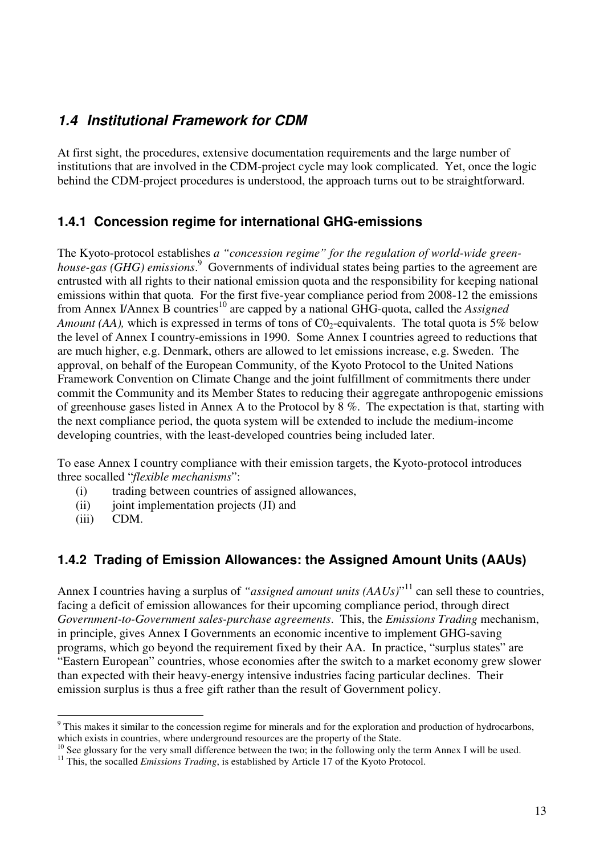# **1.4 Institutional Framework for CDM**

At first sight, the procedures, extensive documentation requirements and the large number of institutions that are involved in the CDM-project cycle may look complicated. Yet, once the logic behind the CDM-project procedures is understood, the approach turns out to be straightforward.

### **1.4.1 Concession regime for international GHG-emissions**

The Kyoto-protocol establishes *a "concession regime" for the regulation of world-wide green*house-gas (GHG) emissions.<sup>9</sup> Governments of individual states being parties to the agreement are entrusted with all rights to their national emission quota and the responsibility for keeping national emissions within that quota. For the first five-year compliance period from 2008-12 the emissions from Annex I/Annex B countries<sup>10</sup> are capped by a national GHG-quota, called the *Assigned Amount (AA),* which is expressed in terms of tons of  $CO_2$ -equivalents. The total quota is 5% below the level of Annex I country-emissions in 1990. Some Annex I countries agreed to reductions that are much higher, e.g. Denmark, others are allowed to let emissions increase, e.g. Sweden. The approval, on behalf of the European Community, of the Kyoto Protocol to the United Nations Framework Convention on Climate Change and the joint fulfillment of commitments there under commit the Community and its Member States to reducing their aggregate anthropogenic emissions of greenhouse gases listed in Annex A to the Protocol by 8 %. The expectation is that, starting with the next compliance period, the quota system will be extended to include the medium-income developing countries, with the least-developed countries being included later.

To ease Annex I country compliance with their emission targets, the Kyoto-protocol introduces three socalled "*flexible mechanisms*":

- (i) trading between countries of assigned allowances,
- $(ii)$  joint implementation projects  $(JI)$  and
- (iii) CDM.

 $\overline{a}$ 

#### **1.4.2 Trading of Emission Allowances: the Assigned Amount Units (AAUs)**

Annex I countries having a surplus of "*assigned amount units (AAUs)*"<sup>11</sup> can sell these to countries, facing a deficit of emission allowances for their upcoming compliance period, through direct *Government-to-Government sales-purchase agreements*. This, the *Emissions Trading* mechanism, in principle, gives Annex I Governments an economic incentive to implement GHG-saving programs, which go beyond the requirement fixed by their AA. In practice, "surplus states" are "Eastern European" countries, whose economies after the switch to a market economy grew slower than expected with their heavy-energy intensive industries facing particular declines. Their emission surplus is thus a free gift rather than the result of Government policy.

 $9$  This makes it similar to the concession regime for minerals and for the exploration and production of hydrocarbons, which exists in countries, where underground resources are the property of the State.

 $10$  See glossary for the very small difference between the two; in the following only the term Annex I will be used.

<sup>&</sup>lt;sup>11</sup> This, the socalled *Emissions Trading*, is established by Article 17 of the Kyoto Protocol.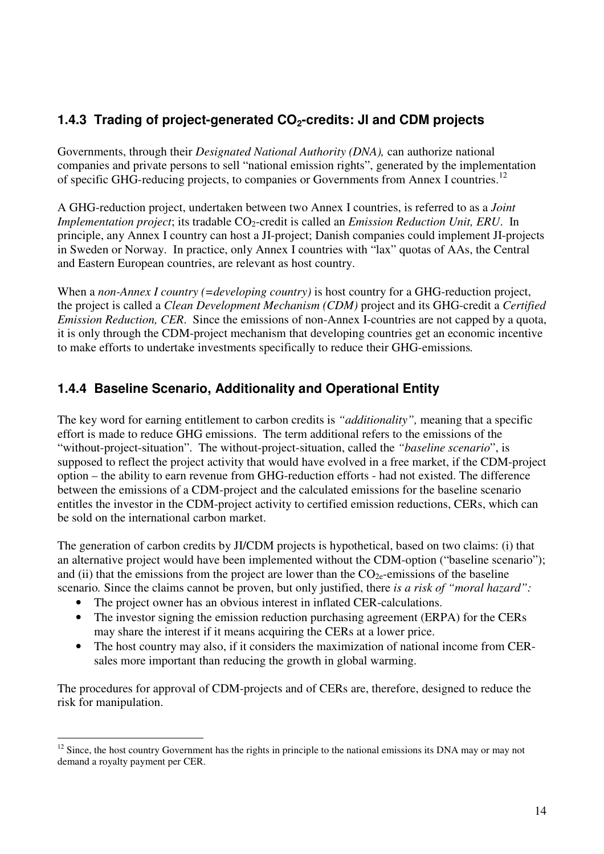## **1.4.3 Trading of project-generated CO2-credits: JI and CDM projects**

Governments, through their *Designated National Authority (DNA),* can authorize national companies and private persons to sell "national emission rights", generated by the implementation of specific GHG-reducing projects, to companies or Governments from Annex I countries.<sup>12</sup>

A GHG-reduction project, undertaken between two Annex I countries, is referred to as a *Joint Implementation project*; its tradable CO<sub>2</sub>-credit is called an *Emission Reduction Unit, ERU*. In principle, any Annex I country can host a JI-project; Danish companies could implement JI-projects in Sweden or Norway. In practice, only Annex I countries with "lax" quotas of AAs, the Central and Eastern European countries, are relevant as host country.

When a *non-Annex I country (=developing country)* is host country for a GHG-reduction project, the project is called a *Clean Development Mechanism (CDM)* project and its GHG-credit a *Certified Emission Reduction, CER*. Since the emissions of non-Annex I-countries are not capped by a quota, it is only through the CDM-project mechanism that developing countries get an economic incentive to make efforts to undertake investments specifically to reduce their GHG-emissions*.* 

### **1.4.4 Baseline Scenario, Additionality and Operational Entity**

The key word for earning entitlement to carbon credits is *"additionality",* meaning that a specific effort is made to reduce GHG emissions. The term additional refers to the emissions of the "without-project-situation". The without-project-situation, called the *"baseline scenario*", is supposed to reflect the project activity that would have evolved in a free market, if the CDM-project option – the ability to earn revenue from GHG-reduction efforts - had not existed. The difference between the emissions of a CDM-project and the calculated emissions for the baseline scenario entitles the investor in the CDM-project activity to certified emission reductions, CERs, which can be sold on the international carbon market.

The generation of carbon credits by JI/CDM projects is hypothetical, based on two claims: (i) that an alternative project would have been implemented without the CDM-option ("baseline scenario"); and (ii) that the emissions from the project are lower than the  $CO<sub>2e</sub>$ -emissions of the baseline scenario*.* Since the claims cannot be proven, but only justified, there *is a risk of "moral hazard":*

The project owner has an obvious interest in inflated CER-calculations.

 $\overline{a}$ 

- The investor signing the emission reduction purchasing agreement (ERPA) for the CERs may share the interest if it means acquiring the CERs at a lower price.
- The host country may also, if it considers the maximization of national income from CERsales more important than reducing the growth in global warming.

The procedures for approval of CDM-projects and of CERs are, therefore, designed to reduce the risk for manipulation.

 $12$  Since, the host country Government has the rights in principle to the national emissions its DNA may or may not demand a royalty payment per CER.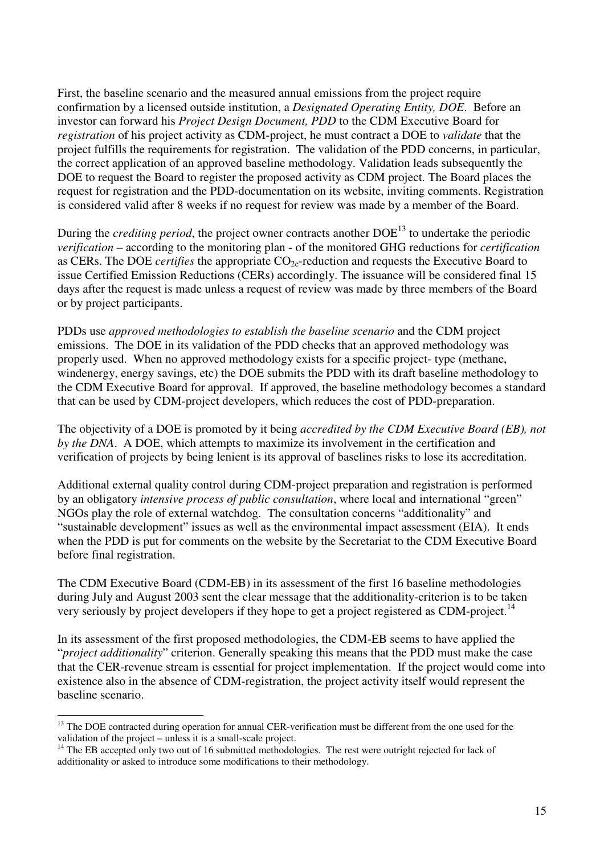First, the baseline scenario and the measured annual emissions from the project require confirmation by a licensed outside institution, a *Designated Operating Entity, DOE*. Before an investor can forward his *Project Design Document, PDD* to the CDM Executive Board for *registration* of his project activity as CDM-project, he must contract a DOE to *validate* that the project fulfills the requirements for registration. The validation of the PDD concerns, in particular, the correct application of an approved baseline methodology. Validation leads subsequently the DOE to request the Board to register the proposed activity as CDM project. The Board places the request for registration and the PDD-documentation on its website, inviting comments. Registration is considered valid after 8 weeks if no request for review was made by a member of the Board.

During the *crediting period*, the project owner contracts another DOE<sup>13</sup> to undertake the periodic *verification* – according to the monitoring plan - of the monitored GHG reductions for *certification* as CERs. The DOE *certifies* the appropriate CO<sub>2e</sub>-reduction and requests the Executive Board to issue Certified Emission Reductions (CERs) accordingly. The issuance will be considered final 15 days after the request is made unless a request of review was made by three members of the Board or by project participants.

PDDs use *approved methodologies to establish the baseline scenario* and the CDM project emissions. The DOE in its validation of the PDD checks that an approved methodology was properly used. When no approved methodology exists for a specific project- type (methane, windenergy, energy savings, etc) the DOE submits the PDD with its draft baseline methodology to the CDM Executive Board for approval. If approved, the baseline methodology becomes a standard that can be used by CDM-project developers, which reduces the cost of PDD-preparation.

The objectivity of a DOE is promoted by it being *accredited by the CDM Executive Board (EB), not by the DNA*. A DOE, which attempts to maximize its involvement in the certification and verification of projects by being lenient is its approval of baselines risks to lose its accreditation.

Additional external quality control during CDM-project preparation and registration is performed by an obligatory *intensive process of public consultation*, where local and international "green" NGOs play the role of external watchdog. The consultation concerns "additionality" and "sustainable development" issues as well as the environmental impact assessment (EIA). It ends when the PDD is put for comments on the website by the Secretariat to the CDM Executive Board before final registration.

The CDM Executive Board (CDM-EB) in its assessment of the first 16 baseline methodologies during July and August 2003 sent the clear message that the additionality-criterion is to be taken very seriously by project developers if they hope to get a project registered as CDM-project.<sup>14</sup>

In its assessment of the first proposed methodologies, the CDM-EB seems to have applied the "*project additionality*" criterion. Generally speaking this means that the PDD must make the case that the CER-revenue stream is essential for project implementation. If the project would come into existence also in the absence of CDM-registration, the project activity itself would represent the baseline scenario.

 $\overline{a}$ 

<sup>&</sup>lt;sup>13</sup> The DOE contracted during operation for annual CER-verification must be different from the one used for the validation of the project – unless it is a small-scale project.

<sup>&</sup>lt;sup>14</sup> The EB accepted only two out of 16 submitted methodologies. The rest were outright rejected for lack of additionality or asked to introduce some modifications to their methodology.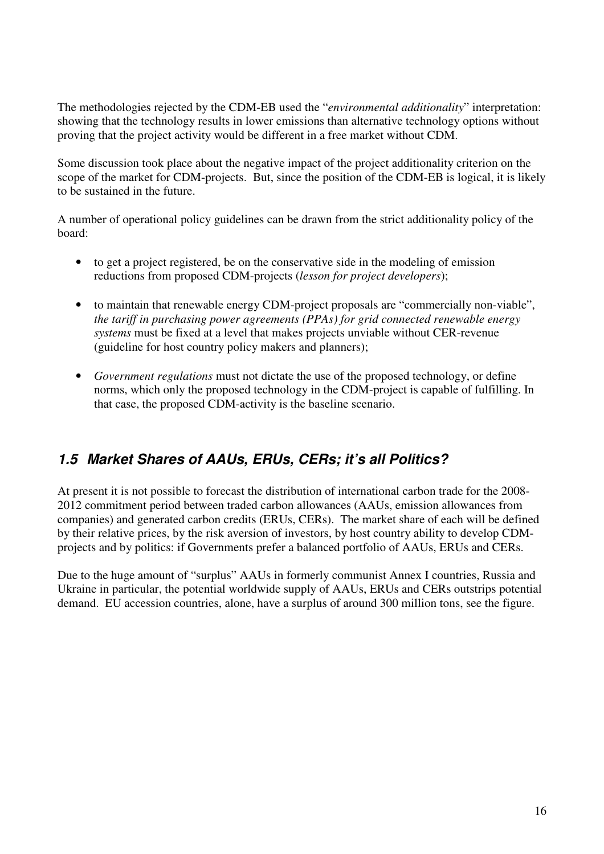The methodologies rejected by the CDM-EB used the "*environmental additionality*" interpretation: showing that the technology results in lower emissions than alternative technology options without proving that the project activity would be different in a free market without CDM.

Some discussion took place about the negative impact of the project additionality criterion on the scope of the market for CDM-projects. But, since the position of the CDM-EB is logical, it is likely to be sustained in the future.

A number of operational policy guidelines can be drawn from the strict additionality policy of the board:

- to get a project registered, be on the conservative side in the modeling of emission reductions from proposed CDM-projects (*lesson for project developers*);
- to maintain that renewable energy CDM-project proposals are "commercially non-viable", *the tariff in purchasing power agreements (PPAs) for grid connected renewable energy systems* must be fixed at a level that makes projects unviable without CER-revenue (guideline for host country policy makers and planners);
- *Government regulations* must not dictate the use of the proposed technology, or define norms, which only the proposed technology in the CDM-project is capable of fulfilling. In that case, the proposed CDM-activity is the baseline scenario.

# **1.5 Market Shares of AAUs, ERUs, CERs; it's all Politics?**

At present it is not possible to forecast the distribution of international carbon trade for the 2008- 2012 commitment period between traded carbon allowances (AAUs, emission allowances from companies) and generated carbon credits (ERUs, CERs). The market share of each will be defined by their relative prices, by the risk aversion of investors, by host country ability to develop CDMprojects and by politics: if Governments prefer a balanced portfolio of AAUs, ERUs and CERs.

Due to the huge amount of "surplus" AAUs in formerly communist Annex I countries, Russia and Ukraine in particular, the potential worldwide supply of AAUs, ERUs and CERs outstrips potential demand. EU accession countries, alone, have a surplus of around 300 million tons, see the figure.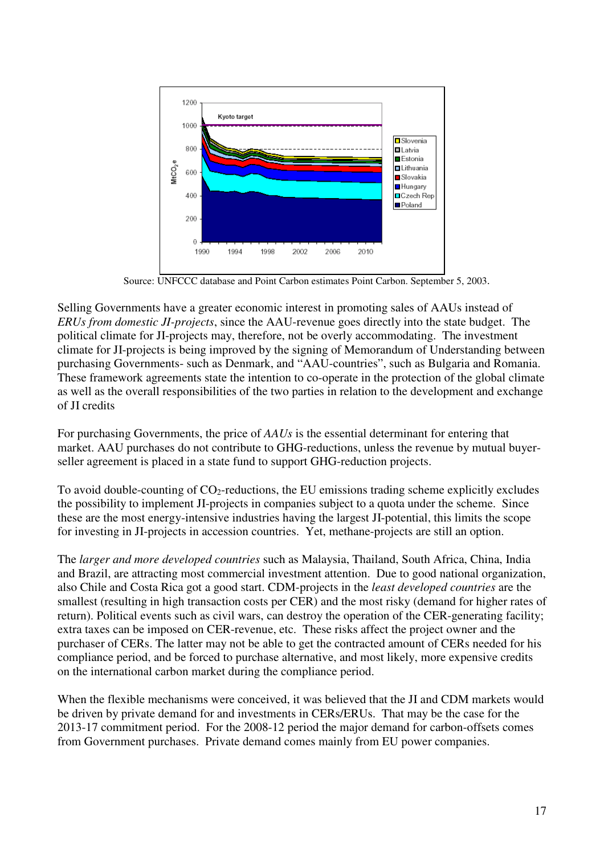

Source: UNFCCC database and Point Carbon estimates Point Carbon. September 5, 2003.

Selling Governments have a greater economic interest in promoting sales of AAUs instead of *ERUs from domestic JI-projects*, since the AAU-revenue goes directly into the state budget. The political climate for JI-projects may, therefore, not be overly accommodating. The investment climate for JI-projects is being improved by the signing of Memorandum of Understanding between purchasing Governments- such as Denmark, and "AAU-countries", such as Bulgaria and Romania. These framework agreements state the intention to co-operate in the protection of the global climate as well as the overall responsibilities of the two parties in relation to the development and exchange of JI credits

For purchasing Governments, the price of *AAUs* is the essential determinant for entering that market. AAU purchases do not contribute to GHG-reductions, unless the revenue by mutual buyerseller agreement is placed in a state fund to support GHG-reduction projects.

To avoid double-counting of  $CO_2$ -reductions, the EU emissions trading scheme explicitly excludes the possibility to implement JI-projects in companies subject to a quota under the scheme. Since these are the most energy-intensive industries having the largest JI-potential, this limits the scope for investing in JI-projects in accession countries. Yet, methane-projects are still an option.

The *larger and more developed countries* such as Malaysia, Thailand, South Africa, China, India and Brazil, are attracting most commercial investment attention. Due to good national organization, also Chile and Costa Rica got a good start. CDM-projects in the *least developed countries* are the smallest (resulting in high transaction costs per CER) and the most risky (demand for higher rates of return). Political events such as civil wars, can destroy the operation of the CER-generating facility; extra taxes can be imposed on CER-revenue, etc. These risks affect the project owner and the purchaser of CERs. The latter may not be able to get the contracted amount of CERs needed for his compliance period, and be forced to purchase alternative, and most likely, more expensive credits on the international carbon market during the compliance period.

When the flexible mechanisms were conceived, it was believed that the JI and CDM markets would be driven by private demand for and investments in CERs/ERUs. That may be the case for the 2013-17 commitment period. For the 2008-12 period the major demand for carbon-offsets comes from Government purchases. Private demand comes mainly from EU power companies.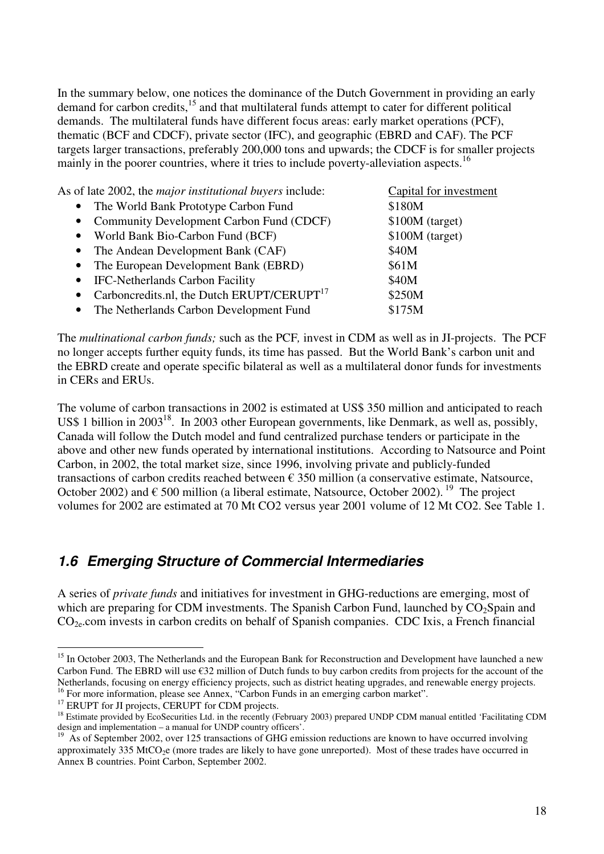In the summary below, one notices the dominance of the Dutch Government in providing an early demand for carbon credits,<sup>15</sup> and that multilateral funds attempt to cater for different political demands. The multilateral funds have different focus areas: early market operations (PCF), thematic (BCF and CDCF), private sector (IFC), and geographic (EBRD and CAF). The PCF targets larger transactions, preferably 200,000 tons and upwards; the CDCF is for smaller projects mainly in the poorer countries, where it tries to include poverty-alleviation aspects.<sup>16</sup>

| As of late 2002, the <i>major institutional buyers</i> include:<br>Capital for investment |                 |
|-------------------------------------------------------------------------------------------|-----------------|
| • The World Bank Prototype Carbon Fund                                                    | \$180M          |
| • Community Development Carbon Fund (CDCF)                                                | \$100M (target) |
| • World Bank Bio-Carbon Fund (BCF)                                                        | \$100M (target) |
| • The Andean Development Bank (CAF)                                                       | \$40M           |
| • The European Development Bank (EBRD)                                                    | \$61M           |
| • IFC-Netherlands Carbon Facility                                                         | \$40M           |
| • Carboncredits.nl, the Dutch ERUPT/CERUPT $17$                                           | \$250M          |
| • The Netherlands Carbon Development Fund                                                 | \$175M          |

The *multinational carbon funds;* such as the PCF*,* invest in CDM as well as in JI-projects. The PCF no longer accepts further equity funds, its time has passed. But the World Bank's carbon unit and the EBRD create and operate specific bilateral as well as a multilateral donor funds for investments in CERs and ERUs.

The volume of carbon transactions in 2002 is estimated at US\$ 350 million and anticipated to reach US\$ 1 billion in 2003<sup>18</sup>. In 2003 other European governments, like Denmark, as well as, possibly, Canada will follow the Dutch model and fund centralized purchase tenders or participate in the above and other new funds operated by international institutions. According to Natsource and Point Carbon, in 2002, the total market size, since 1996, involving private and publicly-funded transactions of carbon credits reached between  $\epsilon$  350 million (a conservative estimate, Natsource, October 2002) and  $\epsilon$  500 million (a liberal estimate, Natsource, October 2002).<sup>19</sup> The project volumes for 2002 are estimated at 70 Mt CO2 versus year 2001 volume of 12 Mt CO2. See Table 1.

## **1.6 Emerging Structure of Commercial Intermediaries**

A series of *private funds* and initiatives for investment in GHG-reductions are emerging, most of which are preparing for CDM investments. The Spanish Carbon Fund, launched by  $CO<sub>2</sub>$ Spain and CO2e.com invests in carbon credits on behalf of Spanish companies. CDC Ixis, a French financial

 $\overline{a}$ 

<sup>&</sup>lt;sup>15</sup> In October 2003, The Netherlands and the European Bank for Reconstruction and Development have launched a new Carbon Fund. The EBRD will use €32 million of Dutch funds to buy carbon credits from projects for the account of the Netherlands, focusing on energy efficiency projects, such as district heating upgrades, and renewable energy projects. <sup>16</sup> For more information, please see Annex, "Carbon Funds in an emerging carbon market".

<sup>&</sup>lt;sup>17</sup> ERUPT for JI projects, CERUPT for CDM projects.

<sup>&</sup>lt;sup>18</sup> Estimate provided by EcoSecurities Ltd. in the recently (February 2003) prepared UNDP CDM manual entitled 'Facilitating CDM design and implementation – a manual for UNDP country officers'.

<sup>&</sup>lt;sup>19</sup> As of September 2002, over 125 transactions of GHG emission reductions are known to have occurred involving approximately 335 MtCO<sub>2</sub>e (more trades are likely to have gone unreported). Most of these trades have occurred in Annex B countries. Point Carbon, September 2002.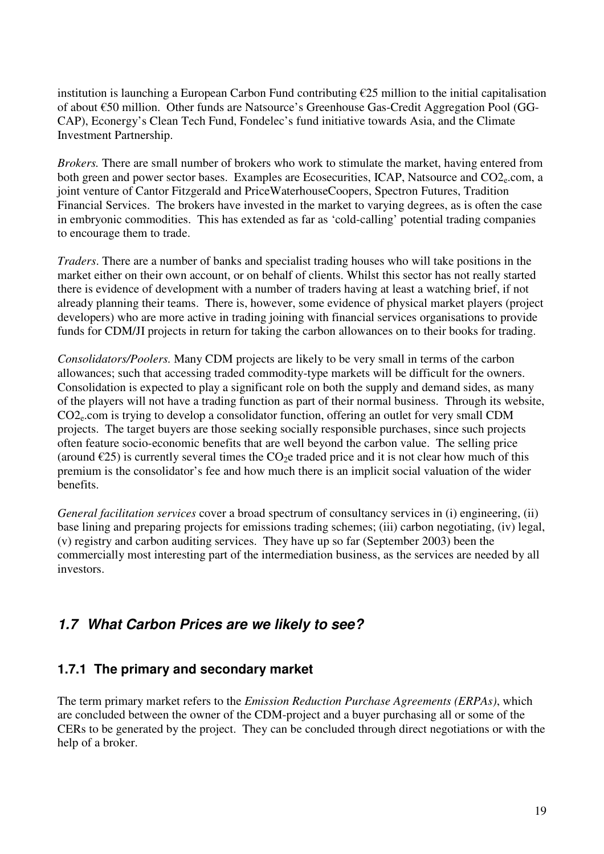institution is launching a European Carbon Fund contributing €25 million to the initial capitalisation of about €50 million. Other funds are Natsource's Greenhouse Gas-Credit Aggregation Pool (GG-CAP), Econergy's Clean Tech Fund, Fondelec's fund initiative towards Asia, and the Climate Investment Partnership.

*Brokers.* There are small number of brokers who work to stimulate the market, having entered from both green and power sector bases. Examples are Ecosecurities, ICAP, Natsource and CO2<sub>e</sub>.com, a joint venture of Cantor Fitzgerald and PriceWaterhouseCoopers, Spectron Futures, Tradition Financial Services. The brokers have invested in the market to varying degrees, as is often the case in embryonic commodities. This has extended as far as 'cold-calling' potential trading companies to encourage them to trade.

*Traders*. There are a number of banks and specialist trading houses who will take positions in the market either on their own account, or on behalf of clients. Whilst this sector has not really started there is evidence of development with a number of traders having at least a watching brief, if not already planning their teams. There is, however, some evidence of physical market players (project developers) who are more active in trading joining with financial services organisations to provide funds for CDM/JI projects in return for taking the carbon allowances on to their books for trading.

*Consolidators/Poolers.* Many CDM projects are likely to be very small in terms of the carbon allowances; such that accessing traded commodity-type markets will be difficult for the owners. Consolidation is expected to play a significant role on both the supply and demand sides, as many of the players will not have a trading function as part of their normal business. Through its website, CO2e.com is trying to develop a consolidator function, offering an outlet for very small CDM projects. The target buyers are those seeking socially responsible purchases, since such projects often feature socio-economic benefits that are well beyond the carbon value. The selling price (around  $\epsilon$ 25) is currently several times the CO<sub>2</sub>e traded price and it is not clear how much of this premium is the consolidator's fee and how much there is an implicit social valuation of the wider benefits.

*General facilitation services* cover a broad spectrum of consultancy services in (i) engineering, (ii) base lining and preparing projects for emissions trading schemes; (iii) carbon negotiating, (iv) legal, (v) registry and carbon auditing services. They have up so far (September 2003) been the commercially most interesting part of the intermediation business, as the services are needed by all investors.

# **1.7 What Carbon Prices are we likely to see?**

#### **1.7.1 The primary and secondary market**

The term primary market refers to the *Emission Reduction Purchase Agreements (ERPAs)*, which are concluded between the owner of the CDM-project and a buyer purchasing all or some of the CERs to be generated by the project. They can be concluded through direct negotiations or with the help of a broker.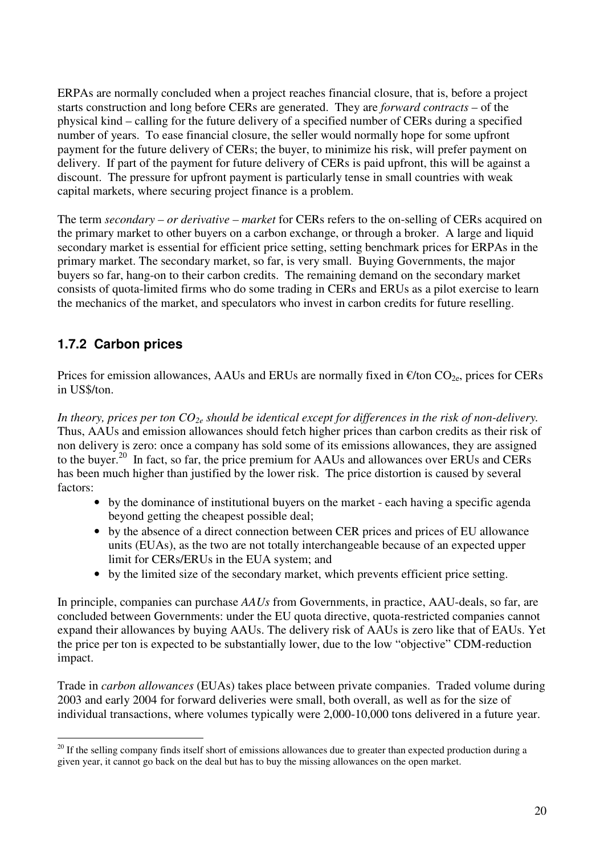ERPAs are normally concluded when a project reaches financial closure, that is, before a project starts construction and long before CERs are generated. They are *forward contracts* – of the physical kind – calling for the future delivery of a specified number of CERs during a specified number of years. To ease financial closure, the seller would normally hope for some upfront payment for the future delivery of CERs; the buyer, to minimize his risk, will prefer payment on delivery. If part of the payment for future delivery of CERs is paid upfront, this will be against a discount. The pressure for upfront payment is particularly tense in small countries with weak capital markets, where securing project finance is a problem.

The term *secondary – or derivative – market* for CERs refers to the on-selling of CERs acquired on the primary market to other buyers on a carbon exchange, or through a broker. A large and liquid secondary market is essential for efficient price setting, setting benchmark prices for ERPAs in the primary market. The secondary market, so far, is very small. Buying Governments, the major buyers so far, hang-on to their carbon credits. The remaining demand on the secondary market consists of quota-limited firms who do some trading in CERs and ERUs as a pilot exercise to learn the mechanics of the market, and speculators who invest in carbon credits for future reselling.

## **1.7.2 Carbon prices**

 $\overline{a}$ 

Prices for emission allowances, AAUs and ERUs are normally fixed in  $\epsilon$ /ton CO<sub>2e</sub>, prices for CERs in US\$/ton.

*In theory, prices per ton CO2e should be identical except for differences in the risk of non-delivery.* Thus, AAUs and emission allowances should fetch higher prices than carbon credits as their risk of non delivery is zero: once a company has sold some of its emissions allowances, they are assigned to the buyer.<sup>20</sup> In fact, so far, the price premium for AAUs and allowances over ERUs and CERs has been much higher than justified by the lower risk. The price distortion is caused by several factors:

- by the dominance of institutional buyers on the market each having a specific agenda beyond getting the cheapest possible deal;
- by the absence of a direct connection between CER prices and prices of EU allowance units (EUAs), as the two are not totally interchangeable because of an expected upper limit for CERs/ERUs in the EUA system; and
- by the limited size of the secondary market, which prevents efficient price setting.

In principle, companies can purchase *AAUs* from Governments, in practice, AAU-deals, so far, are concluded between Governments: under the EU quota directive, quota-restricted companies cannot expand their allowances by buying AAUs. The delivery risk of AAUs is zero like that of EAUs. Yet the price per ton is expected to be substantially lower, due to the low "objective" CDM-reduction impact.

Trade in *carbon allowances* (EUAs) takes place between private companies. Traded volume during 2003 and early 2004 for forward deliveries were small, both overall, as well as for the size of individual transactions, where volumes typically were 2,000-10,000 tons delivered in a future year.

 $20$  If the selling company finds itself short of emissions allowances due to greater than expected production during a given year, it cannot go back on the deal but has to buy the missing allowances on the open market.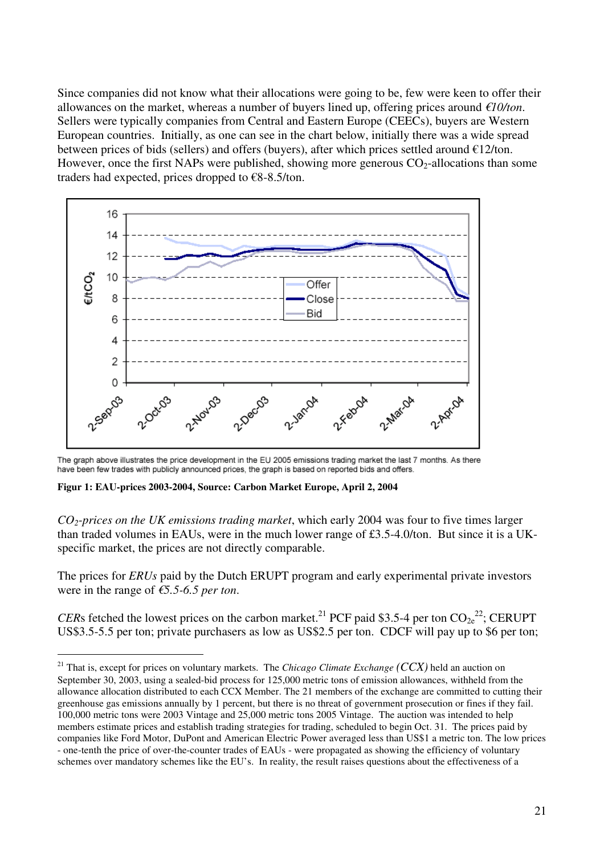Since companies did not know what their allocations were going to be, few were keen to offer their allowances on the market, whereas a number of buyers lined up, offering prices around *€10/ton*. Sellers were typically companies from Central and Eastern Europe (CEECs), buyers are Western European countries. Initially, as one can see in the chart below, initially there was a wide spread between prices of bids (sellers) and offers (buyers), after which prices settled around  $E12/t$ on. However, once the first NAPs were published, showing more generous  $CO_2$ -allocations than some traders had expected, prices dropped to  $\epsilon$ 8-8.5/ton.



The graph above illustrates the price development in the EU 2005 emissions trading market the last 7 months. As there have been few trades with publicly announced prices, the graph is based on reported bids and offers.

**Figur 1: EAU-prices 2003-2004, Source: Carbon Market Europe, April 2, 2004** 

 $\overline{a}$ 

*CO2-prices on the UK emissions trading market*, which early 2004 was four to five times larger than traded volumes in EAUs, were in the much lower range of £3.5-4.0/ton. But since it is a UKspecific market, the prices are not directly comparable.

The prices for *ERUs* paid by the Dutch ERUPT program and early experimental private investors were in the range of *€5.5-6.5 per ton*.

*CERs* fetched the lowest prices on the carbon market.<sup>21</sup> PCF paid \$3.5-4 per ton  $CO_{2e}^{22}$ ; CERUPT US\$3.5-5.5 per ton; private purchasers as low as US\$2.5 per ton. CDCF will pay up to \$6 per ton;

<sup>21</sup> That is, except for prices on voluntary markets. The *Chicago Climate Exchange (CCX)* held an auction on September 30, 2003, using a sealed-bid process for 125,000 metric tons of emission allowances, withheld from the allowance allocation distributed to each CCX Member. The 21 members of the exchange are committed to cutting their greenhouse gas emissions annually by 1 percent, but there is no threat of government prosecution or fines if they fail. 100,000 metric tons were 2003 Vintage and 25,000 metric tons 2005 Vintage. The auction was intended to help members estimate prices and establish trading strategies for trading, scheduled to begin Oct. 31. The prices paid by companies like Ford Motor, DuPont and American Electric Power averaged less than US\$1 a metric ton. The low prices - one-tenth the price of over-the-counter trades of EAUs - were propagated as showing the efficiency of voluntary schemes over mandatory schemes like the EU's. In reality, the result raises questions about the effectiveness of a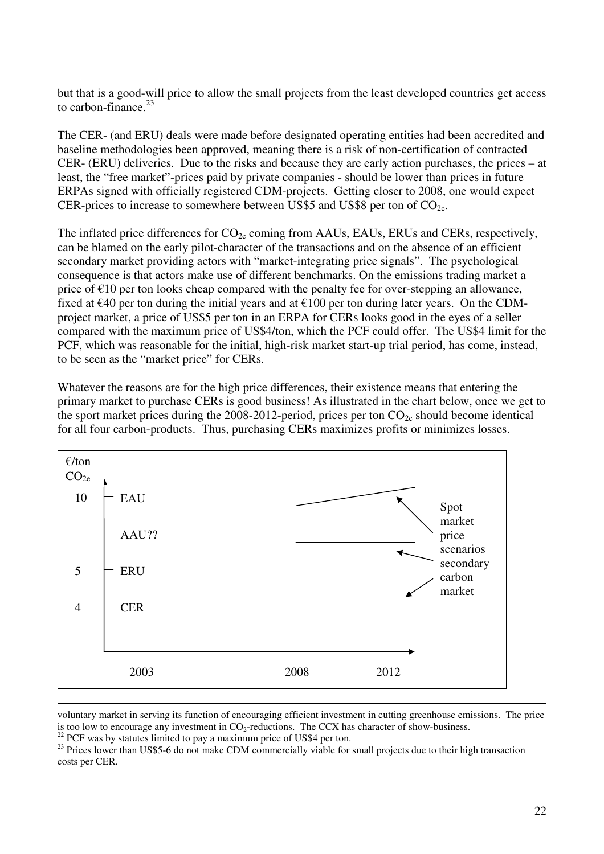but that is a good-will price to allow the small projects from the least developed countries get access to carbon-finance. $23$ 

The CER- (and ERU) deals were made before designated operating entities had been accredited and baseline methodologies been approved, meaning there is a risk of non-certification of contracted CER- (ERU) deliveries. Due to the risks and because they are early action purchases, the prices – at least, the "free market"-prices paid by private companies - should be lower than prices in future ERPAs signed with officially registered CDM-projects. Getting closer to 2008, one would expect CER-prices to increase to somewhere between US\$5 and US\$8 per ton of  $CO<sub>2e</sub>$ .

The inflated price differences for  $CO_{2e}$  coming from AAUs, EAUs, ERUs and CERs, respectively, can be blamed on the early pilot-character of the transactions and on the absence of an efficient secondary market providing actors with "market-integrating price signals". The psychological consequence is that actors make use of different benchmarks. On the emissions trading market a price of  $\epsilon$ 10 per ton looks cheap compared with the penalty fee for over-stepping an allowance, fixed at  $\epsilon$ 40 per ton during the initial years and at  $\epsilon$ 100 per ton during later years. On the CDMproject market, a price of US\$5 per ton in an ERPA for CERs looks good in the eyes of a seller compared with the maximum price of US\$4/ton, which the PCF could offer. The US\$4 limit for the PCF, which was reasonable for the initial, high-risk market start-up trial period, has come, instead, to be seen as the "market price" for CERs.

Whatever the reasons are for the high price differences, their existence means that entering the primary market to purchase CERs is good business! As illustrated in the chart below, once we get to the sport market prices during the 2008-2012-period, prices per ton  $CO_{2e}$  should become identical for all four carbon-products. Thus, purchasing CERs maximizes profits or minimizes losses.



voluntary market in serving its function of encouraging efficient investment in cutting greenhouse emissions. The price is too low to encourage any investment in  $CO_2$ -reductions. The CCX has character of show-business.

 $22$  PCF was by statutes limited to pay a maximum price of US\$4 per ton.

<sup>&</sup>lt;sup>23</sup> Prices lower than US\$5-6 do not make CDM commercially viable for small projects due to their high transaction costs per CER.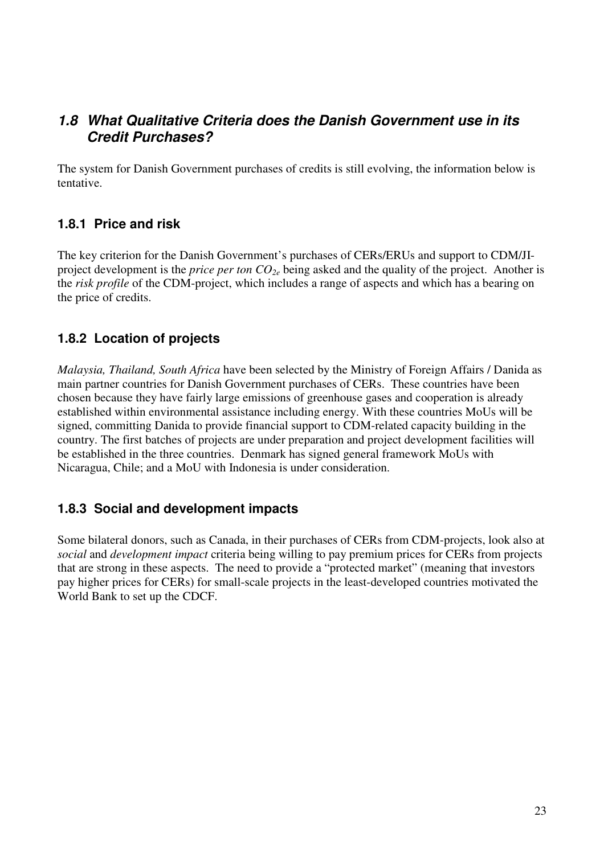## **1.8 What Qualitative Criteria does the Danish Government use in its Credit Purchases?**

The system for Danish Government purchases of credits is still evolving, the information below is tentative.

#### **1.8.1 Price and risk**

The key criterion for the Danish Government's purchases of CERs/ERUs and support to CDM/JIproject development is the *price per ton CO2e* being asked and the quality of the project. Another is the *risk profile* of the CDM-project, which includes a range of aspects and which has a bearing on the price of credits.

### **1.8.2 Location of projects**

*Malaysia, Thailand, South Africa* have been selected by the Ministry of Foreign Affairs / Danida as main partner countries for Danish Government purchases of CERs. These countries have been chosen because they have fairly large emissions of greenhouse gases and cooperation is already established within environmental assistance including energy. With these countries MoUs will be signed, committing Danida to provide financial support to CDM-related capacity building in the country. The first batches of projects are under preparation and project development facilities will be established in the three countries. Denmark has signed general framework MoUs with Nicaragua, Chile; and a MoU with Indonesia is under consideration.

#### **1.8.3 Social and development impacts**

Some bilateral donors, such as Canada, in their purchases of CERs from CDM-projects, look also at *social* and *development impact* criteria being willing to pay premium prices for CERs from projects that are strong in these aspects. The need to provide a "protected market" (meaning that investors pay higher prices for CERs) for small-scale projects in the least-developed countries motivated the World Bank to set up the CDCF.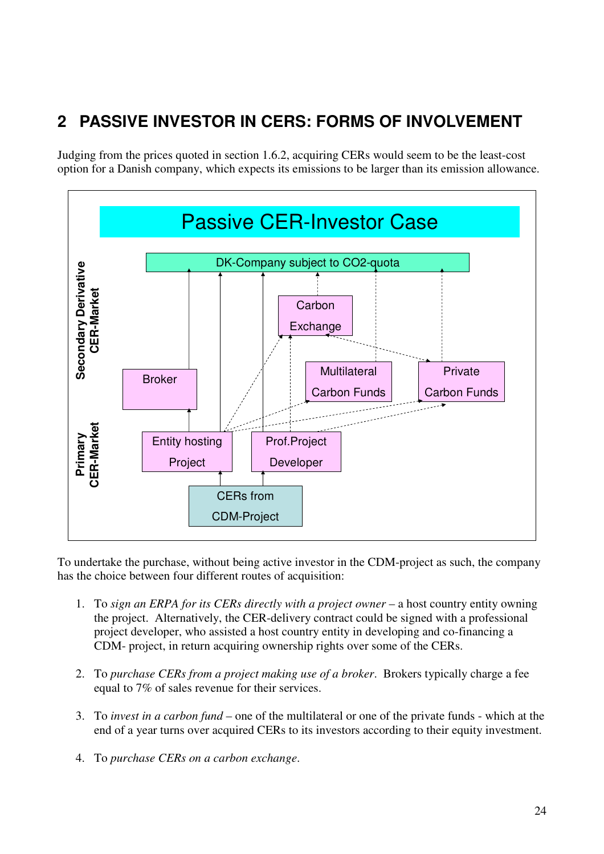# **2 PASSIVE INVESTOR IN CERS: FORMS OF INVOLVEMENT**

Judging from the prices quoted in section 1.6.2, acquiring CERs would seem to be the least-cost option for a Danish company, which expects its emissions to be larger than its emission allowance.



To undertake the purchase, without being active investor in the CDM-project as such, the company has the choice between four different routes of acquisition:

- 1. To *sign an ERPA for its CERs directly with a project owner* a host country entity owning the project. Alternatively, the CER-delivery contract could be signed with a professional project developer, who assisted a host country entity in developing and co-financing a CDM- project, in return acquiring ownership rights over some of the CERs.
- 2. To *purchase CERs from a project making use of a broker*. Brokers typically charge a fee equal to 7% of sales revenue for their services.
- 3. To *invest in a carbon fund* one of the multilateral or one of the private funds which at the end of a year turns over acquired CERs to its investors according to their equity investment.
- 4. To *purchase CERs on a carbon exchange*.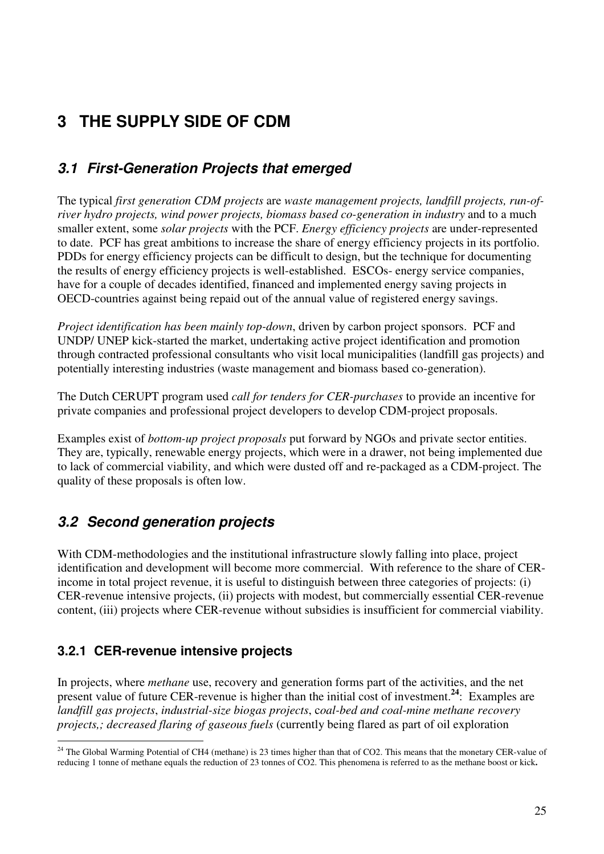# **3 THE SUPPLY SIDE OF CDM**

# **3.1 First-Generation Projects that emerged**

The typical *first generation CDM projects* are *waste management projects, landfill projects, run-ofriver hydro projects, wind power projects, biomass based co-generation in industry* and to a much smaller extent, some *solar projects* with the PCF. *Energy efficiency projects* are under-represented to date. PCF has great ambitions to increase the share of energy efficiency projects in its portfolio. PDDs for energy efficiency projects can be difficult to design, but the technique for documenting the results of energy efficiency projects is well-established. ESCOs- energy service companies, have for a couple of decades identified, financed and implemented energy saving projects in OECD-countries against being repaid out of the annual value of registered energy savings.

*Project identification has been mainly top-down*, driven by carbon project sponsors. PCF and UNDP/ UNEP kick-started the market, undertaking active project identification and promotion through contracted professional consultants who visit local municipalities (landfill gas projects) and potentially interesting industries (waste management and biomass based co-generation).

The Dutch CERUPT program used *call for tenders for CER-purchases* to provide an incentive for private companies and professional project developers to develop CDM-project proposals.

Examples exist of *bottom-up project proposals* put forward by NGOs and private sector entities. They are, typically, renewable energy projects, which were in a drawer, not being implemented due to lack of commercial viability, and which were dusted off and re-packaged as a CDM-project. The quality of these proposals is often low.

# **3.2 Second generation projects**

With CDM-methodologies and the institutional infrastructure slowly falling into place, project identification and development will become more commercial. With reference to the share of CERincome in total project revenue, it is useful to distinguish between three categories of projects: (i) CER-revenue intensive projects, (ii) projects with modest, but commercially essential CER-revenue content, (iii) projects where CER-revenue without subsidies is insufficient for commercial viability.

## **3.2.1 CER-revenue intensive projects**

 $\overline{a}$ 

In projects, where *methane* use, recovery and generation forms part of the activities, and the net present value of future CER-revenue is higher than the initial cost of investment.**<sup>24</sup>**: Examples are *landfill gas projects*, *industrial-size biogas projects*, c*oal-bed and coal-mine methane recovery projects,; decreased flaring of gaseous fuels* (currently being flared as part of oil exploration

 $24$  The Global Warming Potential of CH4 (methane) is 23 times higher than that of CO2. This means that the monetary CER-value of reducing 1 tonne of methane equals the reduction of 23 tonnes of CO2. This phenomena is referred to as the methane boost or kick**.**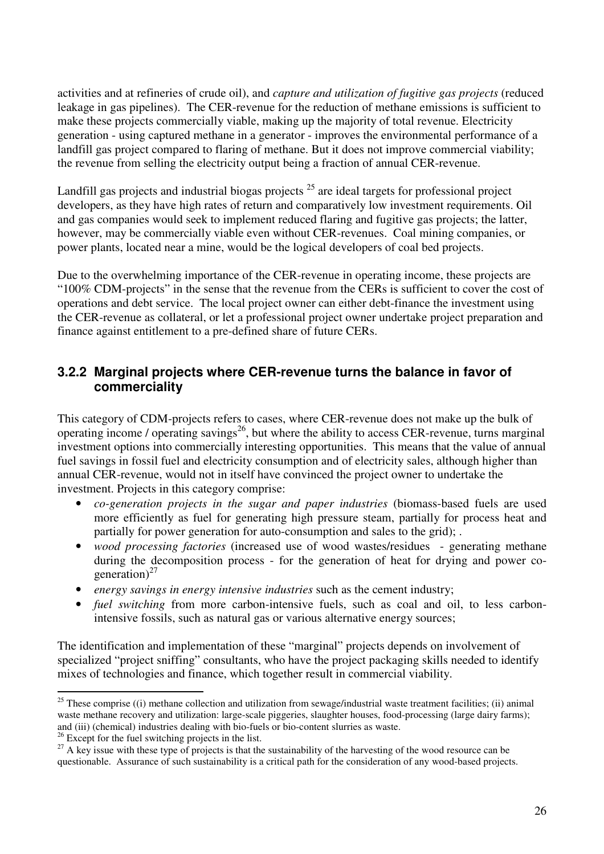activities and at refineries of crude oil), and *capture and utilization of fugitive gas projects* (reduced leakage in gas pipelines). The CER-revenue for the reduction of methane emissions is sufficient to make these projects commercially viable, making up the majority of total revenue. Electricity generation - using captured methane in a generator - improves the environmental performance of a landfill gas project compared to flaring of methane. But it does not improve commercial viability; the revenue from selling the electricity output being a fraction of annual CER-revenue.

Landfill gas projects and industrial biogas projects <sup>25</sup> are ideal targets for professional project developers, as they have high rates of return and comparatively low investment requirements. Oil and gas companies would seek to implement reduced flaring and fugitive gas projects; the latter, however, may be commercially viable even without CER-revenues. Coal mining companies, or power plants, located near a mine, would be the logical developers of coal bed projects.

Due to the overwhelming importance of the CER-revenue in operating income, these projects are "100% CDM-projects" in the sense that the revenue from the CERs is sufficient to cover the cost of operations and debt service. The local project owner can either debt-finance the investment using the CER-revenue as collateral, or let a professional project owner undertake project preparation and finance against entitlement to a pre-defined share of future CERs.

#### **3.2.2 Marginal projects where CER-revenue turns the balance in favor of commerciality**

This category of CDM-projects refers to cases, where CER-revenue does not make up the bulk of operating income / operating savings<sup>26</sup>, but where the ability to access CER-revenue, turns marginal investment options into commercially interesting opportunities. This means that the value of annual fuel savings in fossil fuel and electricity consumption and of electricity sales, although higher than annual CER-revenue, would not in itself have convinced the project owner to undertake the investment. Projects in this category comprise:

- *co-generation projects in the sugar and paper industries* (biomass-based fuels are used more efficiently as fuel for generating high pressure steam, partially for process heat and partially for power generation for auto-consumption and sales to the grid); .
- *wood processing factories* (increased use of wood wastes/residues generating methane during the decomposition process - for the generation of heat for drying and power cogeneration)<sup>27</sup>
- *energy savings in energy intensive industries* such as the cement industry;
- *fuel switching* from more carbon-intensive fuels, such as coal and oil, to less carbonintensive fossils, such as natural gas or various alternative energy sources;

The identification and implementation of these "marginal" projects depends on involvement of specialized "project sniffing" consultants, who have the project packaging skills needed to identify mixes of technologies and finance, which together result in commercial viability.

 $\overline{a}$  $^{25}$  These comprise ((i) methane collection and utilization from sewage/industrial waste treatment facilities; (ii) animal waste methane recovery and utilization: large-scale piggeries, slaughter houses, food-processing (large dairy farms); and (iii) (chemical) industries dealing with bio-fuels or bio-content slurries as waste.

<sup>&</sup>lt;sup>26</sup> Except for the fuel switching projects in the list.

<sup>&</sup>lt;sup>27</sup> A key issue with these type of projects is that the sustainability of the harvesting of the wood resource can be questionable. Assurance of such sustainability is a critical path for the consideration of any wood-based projects.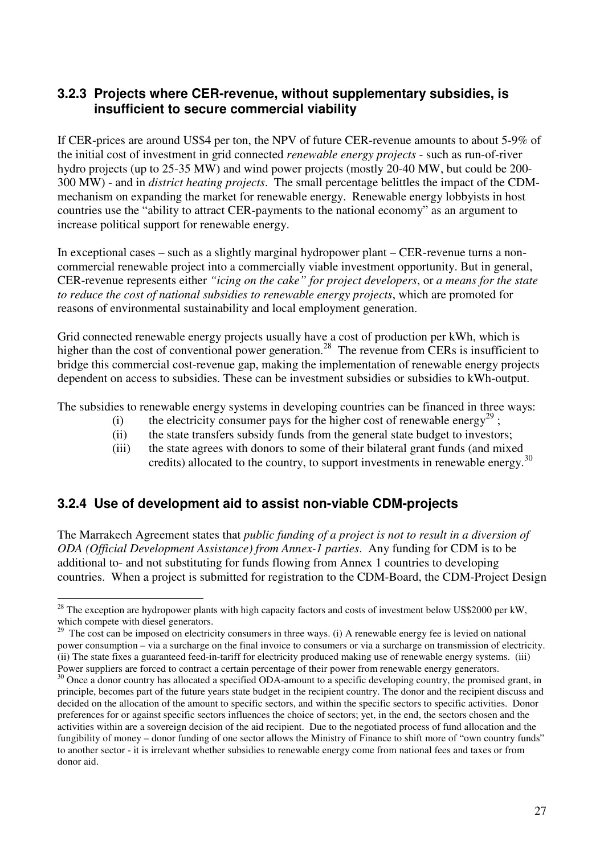#### **3.2.3 Projects where CER-revenue, without supplementary subsidies, is insufficient to secure commercial viability**

If CER-prices are around US\$4 per ton, the NPV of future CER-revenue amounts to about 5-9% of the initial cost of investment in grid connected *renewable energy projects* - such as run-of-river hydro projects (up to 25-35 MW) and wind power projects (mostly 20-40 MW, but could be 200- 300 MW) - and in *district heating projects*. The small percentage belittles the impact of the CDMmechanism on expanding the market for renewable energy. Renewable energy lobbyists in host countries use the "ability to attract CER-payments to the national economy" as an argument to increase political support for renewable energy.

In exceptional cases – such as a slightly marginal hydropower plant – CER-revenue turns a noncommercial renewable project into a commercially viable investment opportunity. But in general, CER-revenue represents either *"icing on the cake" for project developers*, or *a means for the state to reduce the cost of national subsidies to renewable energy projects*, which are promoted for reasons of environmental sustainability and local employment generation.

Grid connected renewable energy projects usually have a cost of production per kWh, which is higher than the cost of conventional power generation.<sup>28</sup> The revenue from CERs is insufficient to bridge this commercial cost-revenue gap, making the implementation of renewable energy projects dependent on access to subsidies. These can be investment subsidies or subsidies to kWh-output.

The subsidies to renewable energy systems in developing countries can be financed in three ways:

- (i) the electricity consumer pays for the higher cost of renewable energy<sup>29</sup>;
- (ii) the state transfers subsidy funds from the general state budget to investors;
- (iii) the state agrees with donors to some of their bilateral grant funds (and mixed credits) allocated to the country, to support investments in renewable energy.<sup>30</sup>

#### **3.2.4 Use of development aid to assist non-viable CDM-projects**

 $\overline{a}$ 

The Marrakech Agreement states that *public funding of a project is not to result in a diversion of ODA (Official Development Assistance) from Annex-1 parties*. Any funding for CDM is to be additional to- and not substituting for funds flowing from Annex 1 countries to developing countries. When a project is submitted for registration to the CDM-Board, the CDM-Project Design

<sup>&</sup>lt;sup>28</sup> The exception are hydropower plants with high capacity factors and costs of investment below US\$2000 per kW, which compete with diesel generators.

 $29$  The cost can be imposed on electricity consumers in three ways. (i) A renewable energy fee is levied on national power consumption – via a surcharge on the final invoice to consumers or via a surcharge on transmission of electricity. (ii) The state fixes a guaranteed feed-in-tariff for electricity produced making use of renewable energy systems. (iii) Power suppliers are forced to contract a certain percentage of their power from renewable energy generators.

<sup>&</sup>lt;sup>30</sup> Once a donor country has allocated a specified ODA-amount to a specific developing country, the promised grant, in principle, becomes part of the future years state budget in the recipient country. The donor and the recipient discuss and decided on the allocation of the amount to specific sectors, and within the specific sectors to specific activities. Donor preferences for or against specific sectors influences the choice of sectors; yet, in the end, the sectors chosen and the activities within are a sovereign decision of the aid recipient. Due to the negotiated process of fund allocation and the fungibility of money – donor funding of one sector allows the Ministry of Finance to shift more of "own country funds" to another sector - it is irrelevant whether subsidies to renewable energy come from national fees and taxes or from donor aid.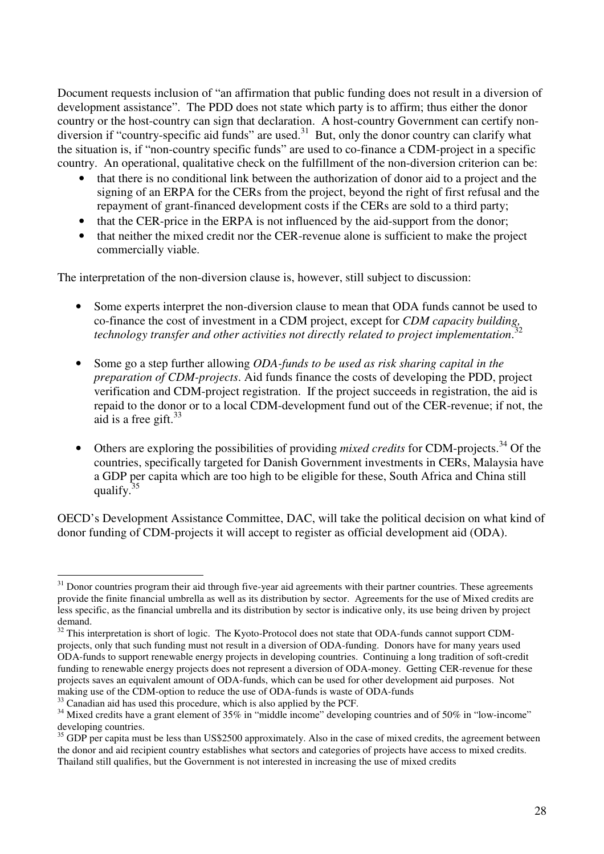Document requests inclusion of "an affirmation that public funding does not result in a diversion of development assistance". The PDD does not state which party is to affirm; thus either the donor country or the host-country can sign that declaration. A host-country Government can certify nondiversion if "country-specific aid funds" are used.<sup>31</sup> But, only the donor country can clarify what the situation is, if "non-country specific funds" are used to co-finance a CDM-project in a specific country. An operational, qualitative check on the fulfillment of the non-diversion criterion can be:

- that there is no conditional link between the authorization of donor aid to a project and the signing of an ERPA for the CERs from the project, beyond the right of first refusal and the repayment of grant-financed development costs if the CERs are sold to a third party;
- that the CER-price in the ERPA is not influenced by the aid-support from the donor;
- that neither the mixed credit nor the CER-revenue alone is sufficient to make the project commercially viable.

The interpretation of the non-diversion clause is, however, still subject to discussion:

- Some experts interpret the non-diversion clause to mean that ODA funds cannot be used to co-finance the cost of investment in a CDM project, except for *CDM capacity building,*  32 *technology transfer and other activities not directly related to project implementation*.
- Some go a step further allowing *ODA-funds to be used as risk sharing capital in the preparation of CDM-projects*. Aid funds finance the costs of developing the PDD, project verification and CDM-project registration. If the project succeeds in registration, the aid is repaid to the donor or to a local CDM-development fund out of the CER-revenue; if not, the aid is a free gift. $33$
- Others are exploring the possibilities of providing *mixed credits* for CDM-projects.<sup>34</sup> Of the countries, specifically targeted for Danish Government investments in CERs, Malaysia have a GDP per capita which are too high to be eligible for these, South Africa and China still qualify. $3$

OECD's Development Assistance Committee, DAC, will take the political decision on what kind of donor funding of CDM-projects it will accept to register as official development aid (ODA).

 $\overline{a}$ <sup>31</sup> Donor countries program their aid through five-year aid agreements with their partner countries. These agreements provide the finite financial umbrella as well as its distribution by sector. Agreements for the use of Mixed credits are less specific, as the financial umbrella and its distribution by sector is indicative only, its use being driven by project demand.

<sup>&</sup>lt;sup>32</sup> This interpretation is short of logic. The Kyoto-Protocol does not state that ODA-funds cannot support CDMprojects, only that such funding must not result in a diversion of ODA-funding. Donors have for many years used ODA-funds to support renewable energy projects in developing countries. Continuing a long tradition of soft-credit funding to renewable energy projects does not represent a diversion of ODA-money. Getting CER-revenue for these projects saves an equivalent amount of ODA-funds, which can be used for other development aid purposes. Not making use of the CDM-option to reduce the use of ODA-funds is waste of ODA-funds

 $33$  Canadian aid has used this procedure, which is also applied by the PCF.

<sup>&</sup>lt;sup>34</sup> Mixed credits have a grant element of 35% in "middle income" developing countries and of 50% in "low-income" developing countries.

 $35$  GDP per capita must be less than US\$2500 approximately. Also in the case of mixed credits, the agreement between the donor and aid recipient country establishes what sectors and categories of projects have access to mixed credits. Thailand still qualifies, but the Government is not interested in increasing the use of mixed credits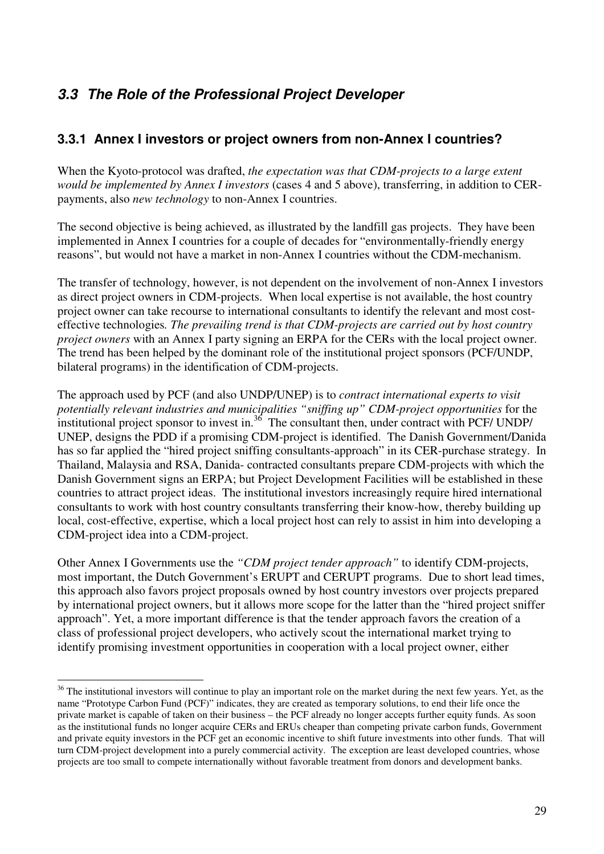# **3.3 The Role of the Professional Project Developer**

#### **3.3.1 Annex I investors or project owners from non-Annex I countries?**

When the Kyoto-protocol was drafted, *the expectation was that CDM-projects to a large extent would be implemented by Annex I investors* (cases 4 and 5 above), transferring, in addition to CERpayments, also *new technology* to non-Annex I countries.

The second objective is being achieved, as illustrated by the landfill gas projects. They have been implemented in Annex I countries for a couple of decades for "environmentally-friendly energy reasons", but would not have a market in non-Annex I countries without the CDM-mechanism.

The transfer of technology, however, is not dependent on the involvement of non-Annex I investors as direct project owners in CDM-projects. When local expertise is not available, the host country project owner can take recourse to international consultants to identify the relevant and most costeffective technologies*. The prevailing trend is that CDM-projects are carried out by host country project owners* with an Annex I party signing an ERPA for the CERs with the local project owner. The trend has been helped by the dominant role of the institutional project sponsors (PCF/UNDP, bilateral programs) in the identification of CDM-projects.

The approach used by PCF (and also UNDP/UNEP) is to *contract international experts to visit potentially relevant industries and municipalities "sniffing up" CDM-project opportunities* for the  $\frac{1}{2}$  institutional project sponsor to invest in.<sup>36</sup> The consultant then, under contract with PCF/ UNDP/ UNEP, designs the PDD if a promising CDM-project is identified. The Danish Government/Danida has so far applied the "hired project sniffing consultants-approach" in its CER-purchase strategy. In Thailand, Malaysia and RSA, Danida- contracted consultants prepare CDM-projects with which the Danish Government signs an ERPA; but Project Development Facilities will be established in these countries to attract project ideas. The institutional investors increasingly require hired international consultants to work with host country consultants transferring their know-how, thereby building up local, cost-effective, expertise, which a local project host can rely to assist in him into developing a CDM-project idea into a CDM-project.

Other Annex I Governments use the *"CDM project tender approach"* to identify CDM-projects, most important, the Dutch Government's ERUPT and CERUPT programs. Due to short lead times, this approach also favors project proposals owned by host country investors over projects prepared by international project owners, but it allows more scope for the latter than the "hired project sniffer approach". Yet, a more important difference is that the tender approach favors the creation of a class of professional project developers, who actively scout the international market trying to identify promising investment opportunities in cooperation with a local project owner, either

 $\overline{a}$ 

 $36$  The institutional investors will continue to play an important role on the market during the next few years. Yet, as the name "Prototype Carbon Fund (PCF)" indicates, they are created as temporary solutions, to end their life once the private market is capable of taken on their business – the PCF already no longer accepts further equity funds. As soon as the institutional funds no longer acquire CERs and ERUs cheaper than competing private carbon funds, Government and private equity investors in the PCF get an economic incentive to shift future investments into other funds. That will turn CDM-project development into a purely commercial activity. The exception are least developed countries, whose projects are too small to compete internationally without favorable treatment from donors and development banks.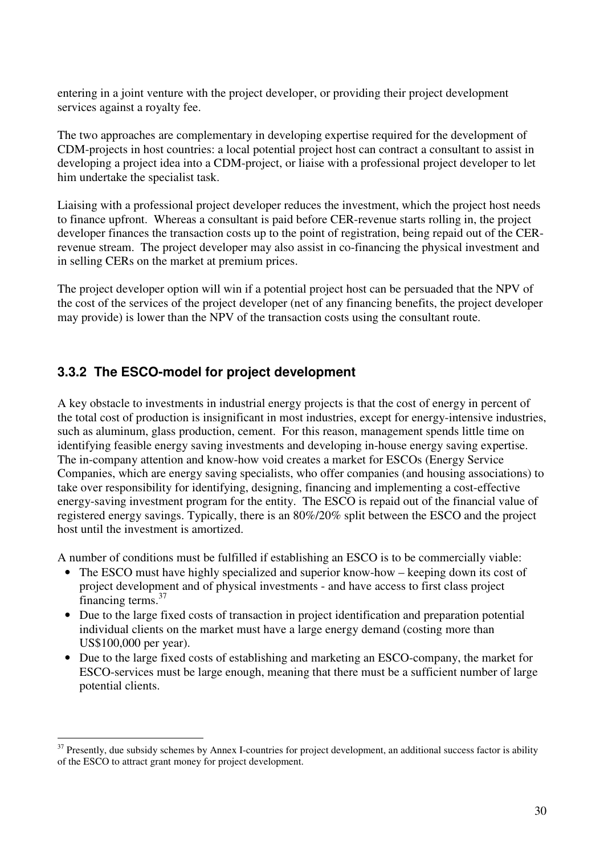entering in a joint venture with the project developer, or providing their project development services against a royalty fee.

The two approaches are complementary in developing expertise required for the development of CDM-projects in host countries: a local potential project host can contract a consultant to assist in developing a project idea into a CDM-project, or liaise with a professional project developer to let him undertake the specialist task.

Liaising with a professional project developer reduces the investment, which the project host needs to finance upfront. Whereas a consultant is paid before CER-revenue starts rolling in, the project developer finances the transaction costs up to the point of registration, being repaid out of the CERrevenue stream. The project developer may also assist in co-financing the physical investment and in selling CERs on the market at premium prices.

The project developer option will win if a potential project host can be persuaded that the NPV of the cost of the services of the project developer (net of any financing benefits, the project developer may provide) is lower than the NPV of the transaction costs using the consultant route.

### **3.3.2 The ESCO-model for project development**

 $\overline{a}$ 

A key obstacle to investments in industrial energy projects is that the cost of energy in percent of the total cost of production is insignificant in most industries, except for energy-intensive industries, such as aluminum, glass production, cement. For this reason, management spends little time on identifying feasible energy saving investments and developing in-house energy saving expertise. The in-company attention and know-how void creates a market for ESCOs (Energy Service Companies, which are energy saving specialists, who offer companies (and housing associations) to take over responsibility for identifying, designing, financing and implementing a cost-effective energy-saving investment program for the entity. The ESCO is repaid out of the financial value of registered energy savings. Typically, there is an 80%/20% split between the ESCO and the project host until the investment is amortized.

A number of conditions must be fulfilled if establishing an ESCO is to be commercially viable:

- The ESCO must have highly specialized and superior know-how keeping down its cost of project development and of physical investments - and have access to first class project financing terms.<sup>37</sup>
- Due to the large fixed costs of transaction in project identification and preparation potential individual clients on the market must have a large energy demand (costing more than US\$100,000 per year).
- Due to the large fixed costs of establishing and marketing an ESCO-company, the market for ESCO-services must be large enough, meaning that there must be a sufficient number of large potential clients.

 $37$  Presently, due subsidy schemes by Annex I-countries for project development, an additional success factor is ability of the ESCO to attract grant money for project development.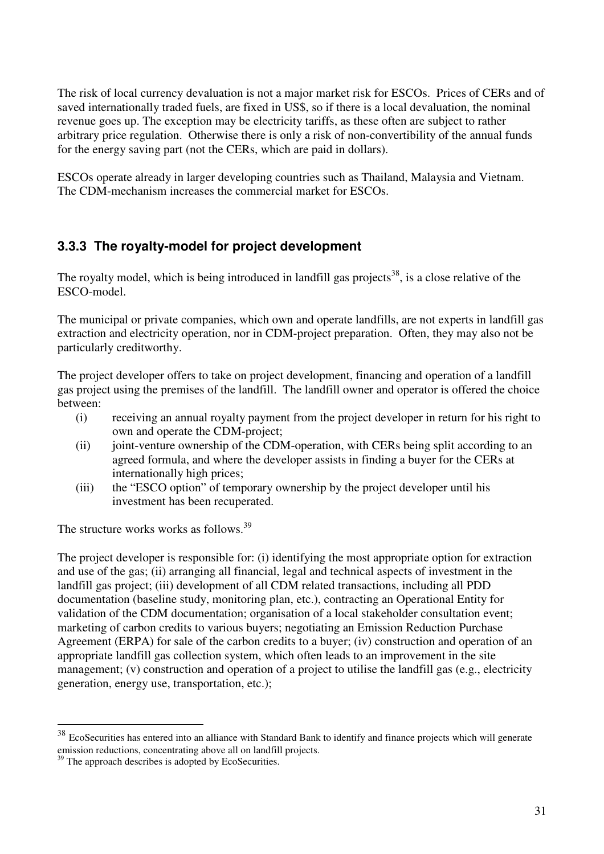The risk of local currency devaluation is not a major market risk for ESCOs. Prices of CERs and of saved internationally traded fuels, are fixed in US\$, so if there is a local devaluation, the nominal revenue goes up. The exception may be electricity tariffs, as these often are subject to rather arbitrary price regulation. Otherwise there is only a risk of non-convertibility of the annual funds for the energy saving part (not the CERs, which are paid in dollars).

ESCOs operate already in larger developing countries such as Thailand, Malaysia and Vietnam. The CDM-mechanism increases the commercial market for ESCOs.

## **3.3.3 The royalty-model for project development**

The royalty model, which is being introduced in landfill gas projects<sup>38</sup>, is a close relative of the ESCO-model.

The municipal or private companies, which own and operate landfills, are not experts in landfill gas extraction and electricity operation, nor in CDM-project preparation. Often, they may also not be particularly creditworthy.

The project developer offers to take on project development, financing and operation of a landfill gas project using the premises of the landfill. The landfill owner and operator is offered the choice between:

- (i) receiving an annual royalty payment from the project developer in return for his right to own and operate the CDM-project;
- (ii) joint-venture ownership of the CDM-operation, with CERs being split according to an agreed formula, and where the developer assists in finding a buyer for the CERs at internationally high prices;
- (iii) the "ESCO option" of temporary ownership by the project developer until his investment has been recuperated.

The structure works works as follows.<sup>39</sup>

The project developer is responsible for: (i) identifying the most appropriate option for extraction and use of the gas; (ii) arranging all financial, legal and technical aspects of investment in the landfill gas project; (iii) development of all CDM related transactions, including all PDD documentation (baseline study, monitoring plan, etc.), contracting an Operational Entity for validation of the CDM documentation; organisation of a local stakeholder consultation event; marketing of carbon credits to various buyers; negotiating an Emission Reduction Purchase Agreement (ERPA) for sale of the carbon credits to a buyer; (iv) construction and operation of an appropriate landfill gas collection system, which often leads to an improvement in the site management; (v) construction and operation of a project to utilise the landfill gas (e.g., electricity generation, energy use, transportation, etc.);

 $\overline{a}$ 

 $38$  EcoSecurities has entered into an alliance with Standard Bank to identify and finance projects which will generate emission reductions, concentrating above all on landfill projects.

<sup>&</sup>lt;sup>39</sup> The approach describes is adopted by EcoSecurities.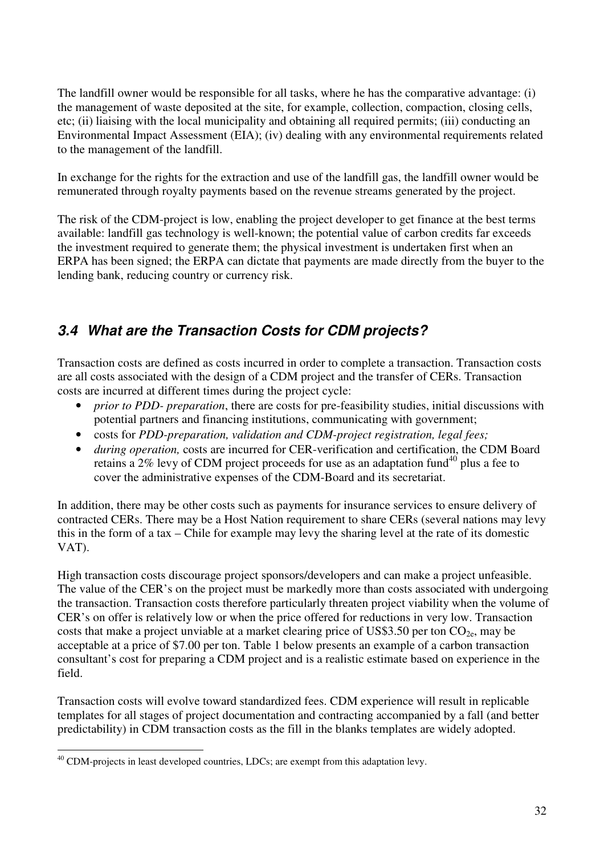The landfill owner would be responsible for all tasks, where he has the comparative advantage: (i) the management of waste deposited at the site, for example, collection, compaction, closing cells, etc; (ii) liaising with the local municipality and obtaining all required permits; (iii) conducting an Environmental Impact Assessment (EIA); (iv) dealing with any environmental requirements related to the management of the landfill.

In exchange for the rights for the extraction and use of the landfill gas, the landfill owner would be remunerated through royalty payments based on the revenue streams generated by the project.

The risk of the CDM-project is low, enabling the project developer to get finance at the best terms available: landfill gas technology is well-known; the potential value of carbon credits far exceeds the investment required to generate them; the physical investment is undertaken first when an ERPA has been signed; the ERPA can dictate that payments are made directly from the buyer to the lending bank, reducing country or currency risk.

# **3.4 What are the Transaction Costs for CDM projects?**

Transaction costs are defined as costs incurred in order to complete a transaction. Transaction costs are all costs associated with the design of a CDM project and the transfer of CERs. Transaction costs are incurred at different times during the project cycle:

- *prior to PDD- preparation*, there are costs for pre-feasibility studies, initial discussions with potential partners and financing institutions, communicating with government;
- costs for *PDD-preparation, validation and CDM-project registration, legal fees;*
- *during operation,* costs are incurred for CER-verification and certification, the CDM Board retains a  $2\%$  levy of CDM project proceeds for use as an adaptation fund<sup>40</sup> plus a fee to cover the administrative expenses of the CDM-Board and its secretariat.

In addition, there may be other costs such as payments for insurance services to ensure delivery of contracted CERs. There may be a Host Nation requirement to share CERs (several nations may levy this in the form of a tax – Chile for example may levy the sharing level at the rate of its domestic VAT).

High transaction costs discourage project sponsors/developers and can make a project unfeasible. The value of the CER's on the project must be markedly more than costs associated with undergoing the transaction. Transaction costs therefore particularly threaten project viability when the volume of CER's on offer is relatively low or when the price offered for reductions in very low. Transaction costs that make a project unviable at a market clearing price of US\$3.50 per ton  $CO<sub>2</sub>$ , may be acceptable at a price of \$7.00 per ton. Table 1 below presents an example of a carbon transaction consultant's cost for preparing a CDM project and is a realistic estimate based on experience in the field.

Transaction costs will evolve toward standardized fees. CDM experience will result in replicable templates for all stages of project documentation and contracting accompanied by a fall (and better predictability) in CDM transaction costs as the fill in the blanks templates are widely adopted.

 $\overline{a}$  $40$  CDM-projects in least developed countries, LDCs; are exempt from this adaptation levy.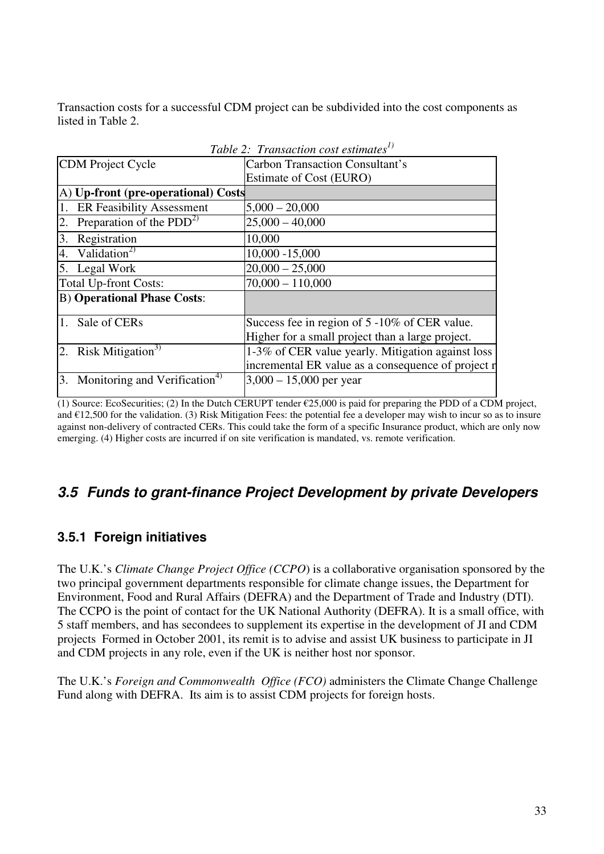Transaction costs for a successful CDM project can be subdivided into the cost components as listed in Table 2.

| Table 2: Transaction cost estimates <sup>1)</sup> |                                                    |  |
|---------------------------------------------------|----------------------------------------------------|--|
| <b>CDM</b> Project Cycle                          | <b>Carbon Transaction Consultant's</b>             |  |
|                                                   | Estimate of Cost (EURO)                            |  |
| A) Up-front (pre-operational) Costs               |                                                    |  |
| <b>ER Feasibility Assessment</b>                  | $5,000 - 20,000$                                   |  |
| Preparation of the $PDD^{2)}$<br>2.               | $25,000 - 40,000$                                  |  |
| 3.<br>Registration                                | 10,000                                             |  |
| Validation <sup>2)</sup><br>$\overline{4}$ .      | $10,000 - 15,000$                                  |  |
| 5. Legal Work                                     | $20,000 - 25,000$                                  |  |
| <b>Total Up-front Costs:</b>                      | $70,000 - 110,000$                                 |  |
| <b>B)</b> Operational Phase Costs:                |                                                    |  |
| 1. Sale of CERs                                   | Success fee in region of 5 -10% of CER value.      |  |
|                                                   | Higher for a small project than a large project.   |  |
| Risk Mitigation <sup>3)</sup><br>2.               | 1-3% of CER value yearly. Mitigation against loss  |  |
|                                                   | incremental ER value as a consequence of project r |  |
| Monitoring and Verification <sup>4)</sup><br>3.   | $3,000 - 15,000$ per year                          |  |

(1) Source: EcoSecurities; (2) In the Dutch CERUPT tender  $\epsilon$ 25,000 is paid for preparing the PDD of a CDM project, and  $\epsilon$ 12,500 for the validation. (3) Risk Mitigation Fees: the potential fee a developer may wish to incur so as to insure against non-delivery of contracted CERs. This could take the form of a specific Insurance product, which are only now emerging. (4) Higher costs are incurred if on site verification is mandated, vs. remote verification.

# **3.5 Funds to grant-finance Project Development by private Developers**

## **3.5.1 Foreign initiatives**

The U.K.'s *Climate Change Project Office (CCPO*) is a collaborative organisation sponsored by the two principal government departments responsible for climate change issues, the Department for Environment, Food and Rural Affairs (DEFRA) and the Department of Trade and Industry (DTI). The CCPO is the point of contact for the UK National Authority (DEFRA). It is a small office, with 5 staff members, and has secondees to supplement its expertise in the development of JI and CDM projects Formed in October 2001, its remit is to advise and assist UK business to participate in JI and CDM projects in any role, even if the UK is neither host nor sponsor.

The U.K.'s *Foreign and Commonwealth Office (FCO)* administers the Climate Change Challenge Fund along with DEFRA. Its aim is to assist CDM projects for foreign hosts.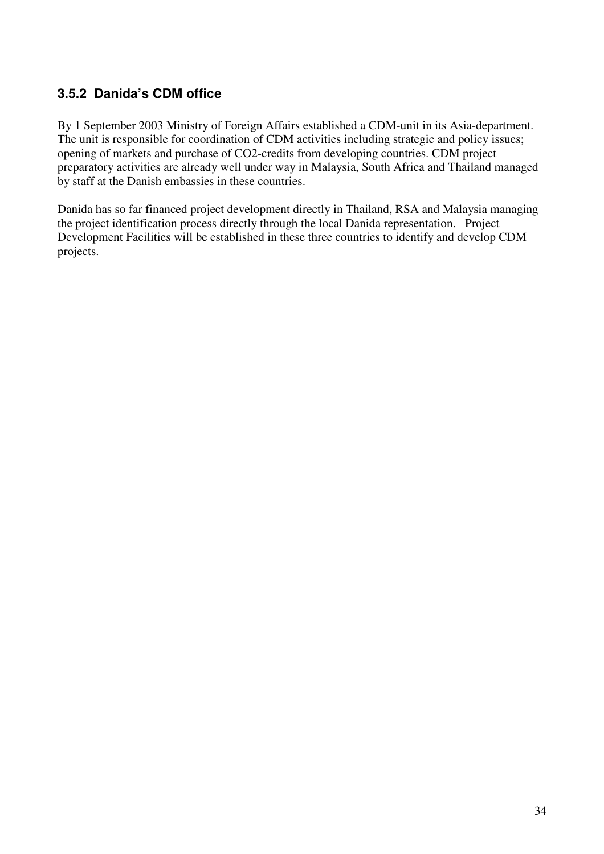## **3.5.2 Danida's CDM office**

By 1 September 2003 Ministry of Foreign Affairs established a CDM-unit in its Asia-department. The unit is responsible for coordination of CDM activities including strategic and policy issues; opening of markets and purchase of CO2-credits from developing countries. CDM project preparatory activities are already well under way in Malaysia, South Africa and Thailand managed by staff at the Danish embassies in these countries.

Danida has so far financed project development directly in Thailand, RSA and Malaysia managing the project identification process directly through the local Danida representation. Project Development Facilities will be established in these three countries to identify and develop CDM projects.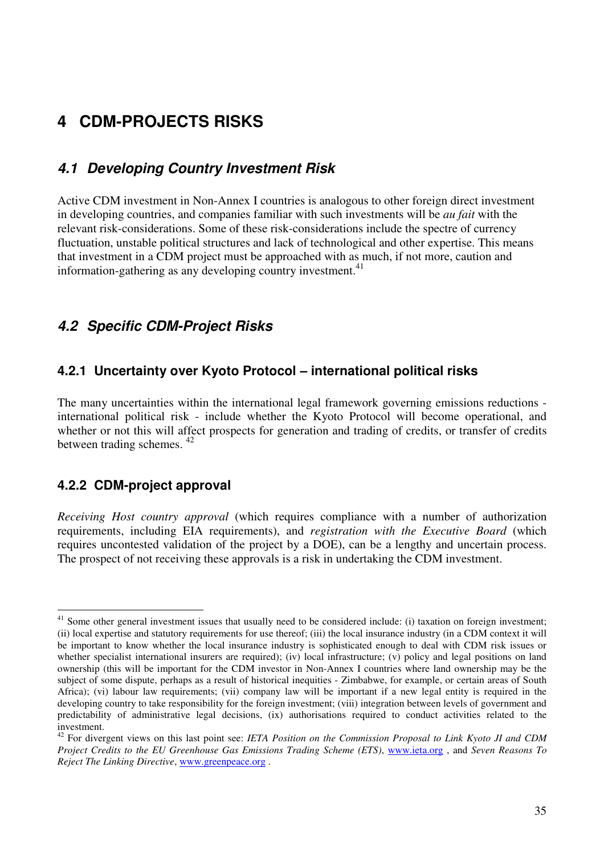# **4 CDM-PROJECTS RISKS**

## **4.1 Developing Country Investment Risk**

Active CDM investment in Non-Annex I countries is analogous to other foreign direct investment in developing countries, and companies familiar with such investments will be *au fait* with the relevant risk-considerations. Some of these risk-considerations include the spectre of currency fluctuation, unstable political structures and lack of technological and other expertise. This means that investment in a CDM project must be approached with as much, if not more, caution and information-gathering as any developing country investment. $41$ 

#### **4.2 Specific CDM-Project Risks**

#### **4.2.1 Uncertainty over Kyoto Protocol – international political risks**

The many uncertainties within the international legal framework governing emissions reductions international political risk - include whether the Kyoto Protocol will become operational, and whether or not this will affect prospects for generation and trading of credits, or transfer of credits between trading schemes. <sup>42</sup>

#### **4.2.2 CDM-project approval**

*Receiving Host country approval* (which requires compliance with a number of authorization requirements, including EIA requirements), and *registration with the Executive Board* (which requires uncontested validation of the project by a DOE), can be a lengthy and uncertain process. The prospect of not receiving these approvals is a risk in undertaking the CDM investment.

 $\overline{a}$  $41$  Some other general investment issues that usually need to be considered include: (i) taxation on foreign investment; (ii) local expertise and statutory requirements for use thereof; (iii) the local insurance industry (in a CDM context it will be important to know whether the local insurance industry is sophisticated enough to deal with CDM risk issues or whether specialist international insurers are required); (iv) local infrastructure; (v) policy and legal positions on land ownership (this will be important for the CDM investor in Non-Annex I countries where land ownership may be the subject of some dispute, perhaps as a result of historical inequities - Zimbabwe, for example, or certain areas of South Africa); (vi) labour law requirements; (vii) company law will be important if a new legal entity is required in the developing country to take responsibility for the foreign investment; (viii) integration between levels of government and predictability of administrative legal decisions, (ix) authorisations required to conduct activities related to the investment.

<sup>42</sup> For divergent views on this last point see: *IETA Position on the Commission Proposal to Link Kyoto JI and CDM Project Credits to the EU Greenhouse Gas Emissions Trading Scheme (ETS)*, www.ieta.org , and *Seven Reasons To Reject The Linking Directive*, www.greenpeace.org .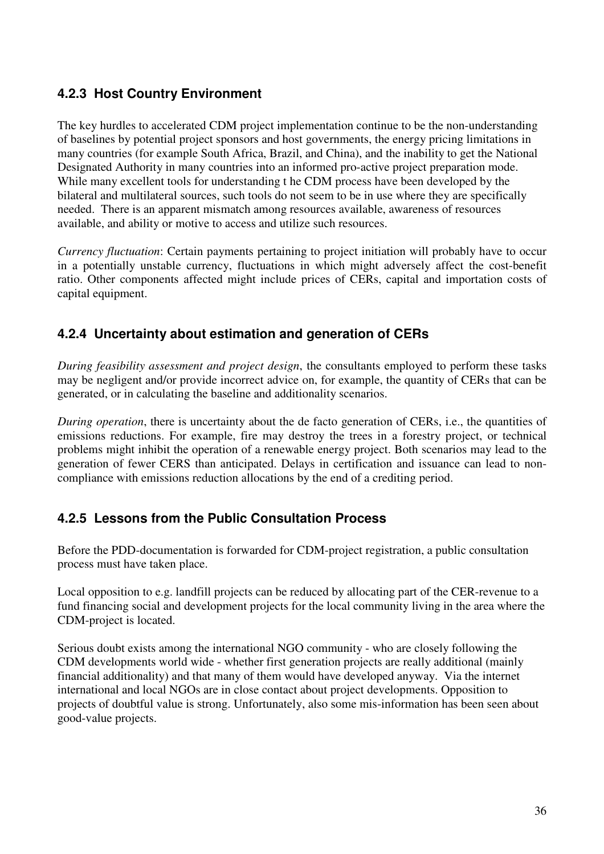## **4.2.3 Host Country Environment**

The key hurdles to accelerated CDM project implementation continue to be the non-understanding of baselines by potential project sponsors and host governments, the energy pricing limitations in many countries (for example South Africa, Brazil, and China), and the inability to get the National Designated Authority in many countries into an informed pro-active project preparation mode. While many excellent tools for understanding t he CDM process have been developed by the bilateral and multilateral sources, such tools do not seem to be in use where they are specifically needed. There is an apparent mismatch among resources available, awareness of resources available, and ability or motive to access and utilize such resources.

*Currency fluctuation*: Certain payments pertaining to project initiation will probably have to occur in a potentially unstable currency, fluctuations in which might adversely affect the cost-benefit ratio. Other components affected might include prices of CERs, capital and importation costs of capital equipment.

#### **4.2.4 Uncertainty about estimation and generation of CERs**

*During feasibility assessment and project design*, the consultants employed to perform these tasks may be negligent and/or provide incorrect advice on, for example, the quantity of CERs that can be generated, or in calculating the baseline and additionality scenarios.

*During operation*, there is uncertainty about the de facto generation of CERs, i.e., the quantities of emissions reductions. For example, fire may destroy the trees in a forestry project, or technical problems might inhibit the operation of a renewable energy project. Both scenarios may lead to the generation of fewer CERS than anticipated. Delays in certification and issuance can lead to noncompliance with emissions reduction allocations by the end of a crediting period.

#### **4.2.5 Lessons from the Public Consultation Process**

Before the PDD-documentation is forwarded for CDM-project registration, a public consultation process must have taken place.

Local opposition to e.g. landfill projects can be reduced by allocating part of the CER-revenue to a fund financing social and development projects for the local community living in the area where the CDM-project is located.

Serious doubt exists among the international NGO community - who are closely following the CDM developments world wide - whether first generation projects are really additional (mainly financial additionality) and that many of them would have developed anyway. Via the internet international and local NGOs are in close contact about project developments. Opposition to projects of doubtful value is strong. Unfortunately, also some mis-information has been seen about good-value projects.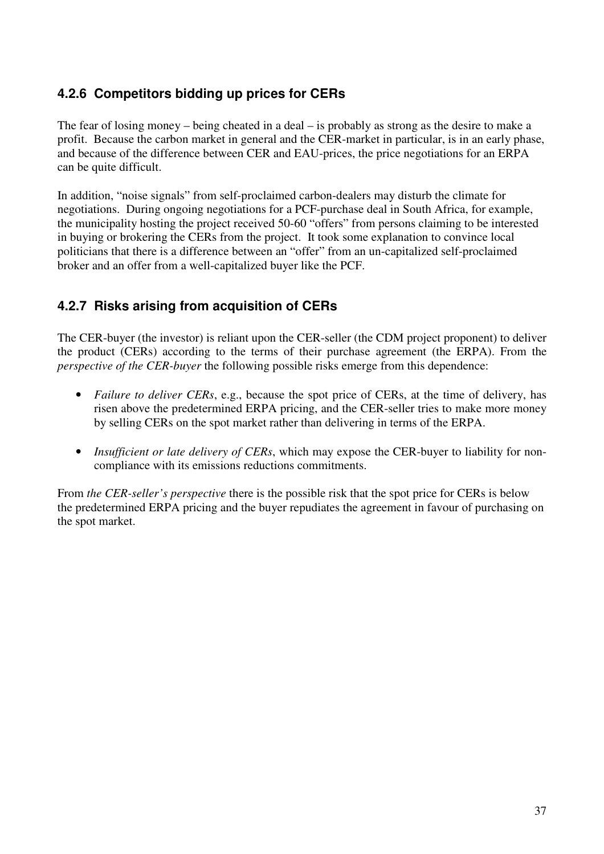## **4.2.6 Competitors bidding up prices for CERs**

The fear of losing money – being cheated in a deal – is probably as strong as the desire to make a profit. Because the carbon market in general and the CER-market in particular, is in an early phase, and because of the difference between CER and EAU-prices, the price negotiations for an ERPA can be quite difficult.

In addition, "noise signals" from self-proclaimed carbon-dealers may disturb the climate for negotiations. During ongoing negotiations for a PCF-purchase deal in South Africa, for example, the municipality hosting the project received 50-60 "offers" from persons claiming to be interested in buying or brokering the CERs from the project. It took some explanation to convince local politicians that there is a difference between an "offer" from an un-capitalized self-proclaimed broker and an offer from a well-capitalized buyer like the PCF.

## **4.2.7 Risks arising from acquisition of CERs**

The CER-buyer (the investor) is reliant upon the CER-seller (the CDM project proponent) to deliver the product (CERs) according to the terms of their purchase agreement (the ERPA). From the *perspective of the CER-buyer* the following possible risks emerge from this dependence:

- *Failure to deliver CERs, e.g., because the spot price of CERs, at the time of delivery, has* risen above the predetermined ERPA pricing, and the CER-seller tries to make more money by selling CERs on the spot market rather than delivering in terms of the ERPA.
- *Insufficient or late delivery of CERs*, which may expose the CER-buyer to liability for noncompliance with its emissions reductions commitments.

From *the CER-seller's perspective* there is the possible risk that the spot price for CERs is below the predetermined ERPA pricing and the buyer repudiates the agreement in favour of purchasing on the spot market.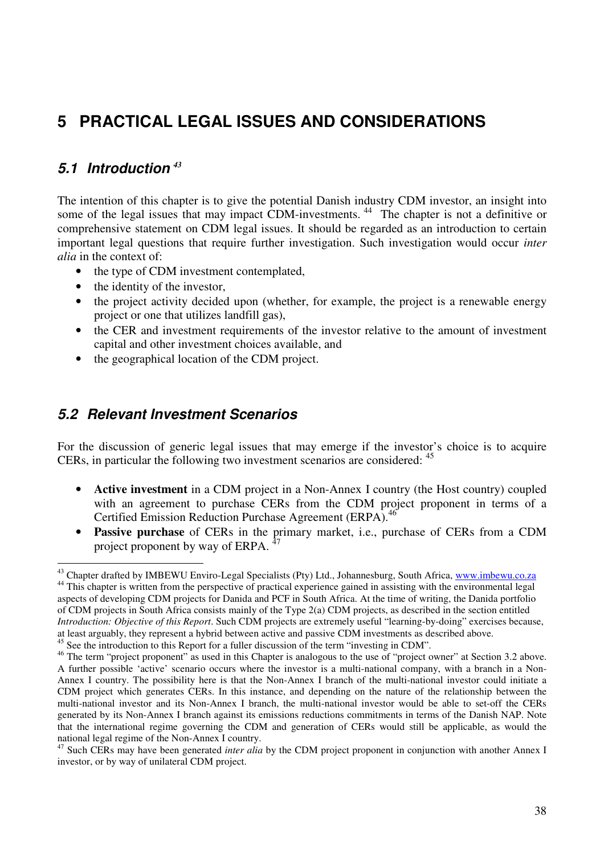# **5 PRACTICAL LEGAL ISSUES AND CONSIDERATIONS**

## **5.1 Introduction** *<sup>43</sup>*

The intention of this chapter is to give the potential Danish industry CDM investor, an insight into some of the legal issues that may impact CDM-investments.<sup>44</sup> The chapter is not a definitive or comprehensive statement on CDM legal issues. It should be regarded as an introduction to certain important legal questions that require further investigation. Such investigation would occur *inter alia* in the context of:

- the type of CDM investment contemplated,
- the identity of the investor,
- the project activity decided upon (whether, for example, the project is a renewable energy project or one that utilizes landfill gas),
- the CER and investment requirements of the investor relative to the amount of investment capital and other investment choices available, and
- the geographical location of the CDM project.

### **5.2 Relevant Investment Scenarios**

For the discussion of generic legal issues that may emerge if the investor's choice is to acquire CERs, in particular the following two investment scenarios are considered: <sup>45</sup>

- **Active investment** in a CDM project in a Non-Annex I country (the Host country) coupled with an agreement to purchase CERs from the CDM project proponent in terms of a Certified Emission Reduction Purchase Agreement (ERPA).<sup>46</sup>
- **Passive purchase** of CERs in the primary market, i.e., purchase of CERs from a CDM project proponent by way of ERPA.

 $\overline{a}$ <sup>43</sup> Chapter drafted by IMBEWU Enviro-Legal Specialists (Pty) Ltd., Johannesburg, South Africa, www.imbewu.co.za <sup>44</sup> This chapter is written from the perspective of practical experience gained in assisting with the environmental legal aspects of developing CDM projects for Danida and PCF in South Africa. At the time of writing, the Danida portfolio of CDM projects in South Africa consists mainly of the Type 2(a) CDM projects, as described in the section entitled *Introduction: Objective of this Report*. Such CDM projects are extremely useful "learning-by-doing" exercises because,

at least arguably, they represent a hybrid between active and passive CDM investments as described above.

<sup>&</sup>lt;sup>45</sup> See the introduction to this Report for a fuller discussion of the term "investing in CDM".

<sup>&</sup>lt;sup>46</sup> The term "project proponent" as used in this Chapter is analogous to the use of "project owner" at Section 3.2 above. A further possible 'active' scenario occurs where the investor is a multi-national company, with a branch in a Non-Annex I country. The possibility here is that the Non-Annex I branch of the multi-national investor could initiate a CDM project which generates CERs. In this instance, and depending on the nature of the relationship between the multi-national investor and its Non-Annex I branch, the multi-national investor would be able to set-off the CERs generated by its Non-Annex I branch against its emissions reductions commitments in terms of the Danish NAP. Note that the international regime governing the CDM and generation of CERs would still be applicable, as would the national legal regime of the Non-Annex I country.

<sup>47</sup> Such CERs may have been generated *inter alia* by the CDM project proponent in conjunction with another Annex I investor, or by way of unilateral CDM project.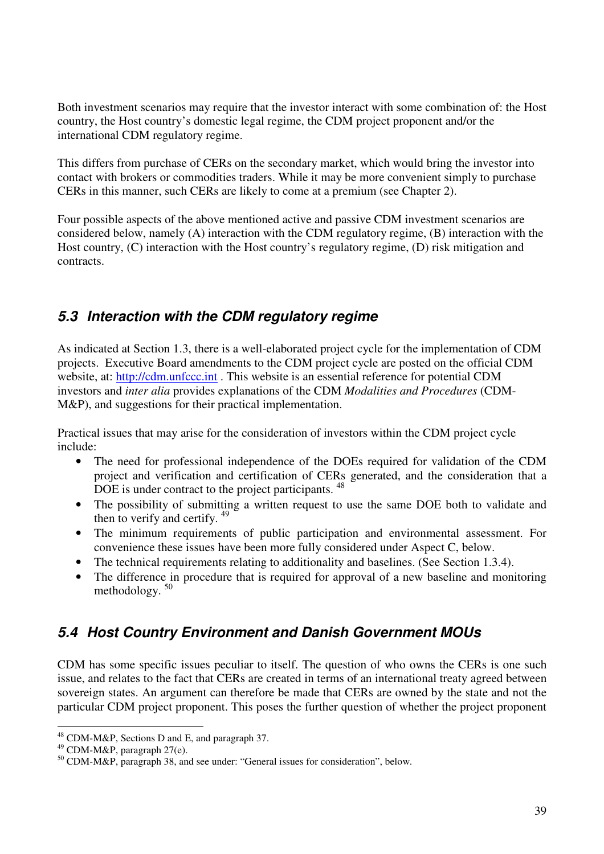Both investment scenarios may require that the investor interact with some combination of: the Host country, the Host country's domestic legal regime, the CDM project proponent and/or the international CDM regulatory regime.

This differs from purchase of CERs on the secondary market, which would bring the investor into contact with brokers or commodities traders. While it may be more convenient simply to purchase CERs in this manner, such CERs are likely to come at a premium (see Chapter 2).

Four possible aspects of the above mentioned active and passive CDM investment scenarios are considered below, namely (A) interaction with the CDM regulatory regime, (B) interaction with the Host country, (C) interaction with the Host country's regulatory regime, (D) risk mitigation and contracts.

# **5.3 Interaction with the CDM regulatory regime**

As indicated at Section 1.3, there is a well-elaborated project cycle for the implementation of CDM projects. Executive Board amendments to the CDM project cycle are posted on the official CDM website, at: http://cdm.unfccc.int. This website is an essential reference for potential CDM investors and *inter alia* provides explanations of the CDM *Modalities and Procedures* (CDM-M&P), and suggestions for their practical implementation.

Practical issues that may arise for the consideration of investors within the CDM project cycle include:

- The need for professional independence of the DOEs required for validation of the CDM project and verification and certification of CERs generated, and the consideration that a DOE is under contract to the project participants. <sup>48</sup>
- The possibility of submitting a written request to use the same DOE both to validate and then to verify and certify. <sup>49</sup>
- The minimum requirements of public participation and environmental assessment. For convenience these issues have been more fully considered under Aspect C, below.
- The technical requirements relating to additionality and baselines. (See Section 1.3.4).<br>• The difference in procedure that is required for approval of a new baseline and moni-
- The difference in procedure that is required for approval of a new baseline and monitoring methodology.<sup>50</sup>

# **5.4 Host Country Environment and Danish Government MOUs**

CDM has some specific issues peculiar to itself. The question of who owns the CERs is one such issue, and relates to the fact that CERs are created in terms of an international treaty agreed between sovereign states. An argument can therefore be made that CERs are owned by the state and not the particular CDM project proponent. This poses the further question of whether the project proponent

 $\overline{a}$  $^{48}$  CDM-M&P, Sections D and E, and paragraph 37.

<sup>49</sup> CDM-M&P, paragraph 27(e).

<sup>50</sup> CDM-M&P, paragraph 38, and see under: "General issues for consideration", below.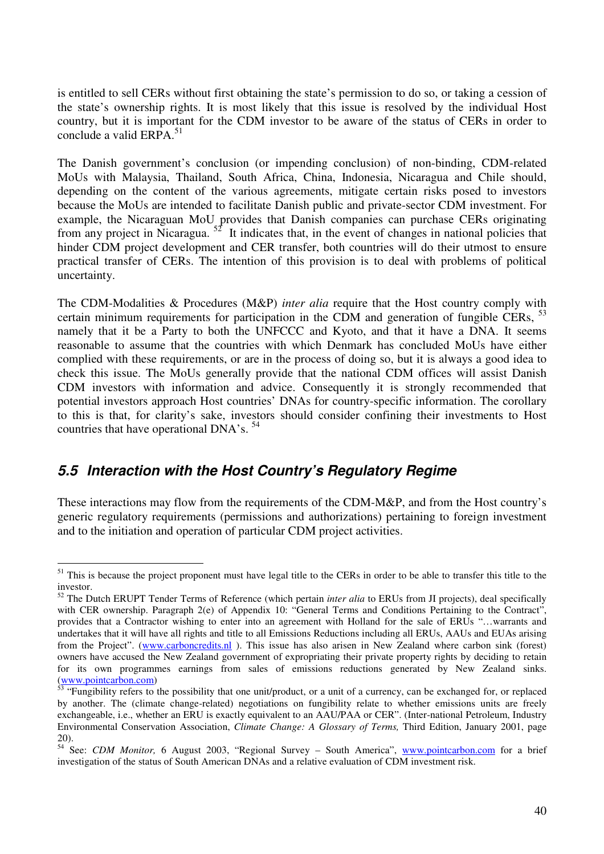is entitled to sell CERs without first obtaining the state's permission to do so, or taking a cession of the state's ownership rights. It is most likely that this issue is resolved by the individual Host country, but it is important for the CDM investor to be aware of the status of CERs in order to conclude a valid ERPA. $51$ 

The Danish government's conclusion (or impending conclusion) of non-binding, CDM-related MoUs with Malaysia, Thailand, South Africa, China, Indonesia, Nicaragua and Chile should, depending on the content of the various agreements, mitigate certain risks posed to investors because the MoUs are intended to facilitate Danish public and private-sector CDM investment. For example, the Nicaraguan MoU provides that Danish companies can purchase CERs originating from any project in Nicaragua.  $52$  It indicates that, in the event of changes in national policies that hinder CDM project development and CER transfer, both countries will do their utmost to ensure practical transfer of CERs. The intention of this provision is to deal with problems of political uncertainty.

The CDM-Modalities & Procedures (M&P) *inter alia* require that the Host country comply with certain minimum requirements for participation in the CDM and generation of fungible CERs,  $^{53}$ namely that it be a Party to both the UNFCCC and Kyoto, and that it have a DNA. It seems reasonable to assume that the countries with which Denmark has concluded MoUs have either complied with these requirements, or are in the process of doing so, but it is always a good idea to check this issue. The MoUs generally provide that the national CDM offices will assist Danish CDM investors with information and advice. Consequently it is strongly recommended that potential investors approach Host countries' DNAs for country-specific information. The corollary to this is that, for clarity's sake, investors should consider confining their investments to Host countries that have operational DNA's.<sup>54</sup>

## **5.5 Interaction with the Host Country's Regulatory Regime**

These interactions may flow from the requirements of the CDM-M&P, and from the Host country's generic regulatory requirements (permissions and authorizations) pertaining to foreign investment and to the initiation and operation of particular CDM project activities.

 $\overline{a}$ <sup>51</sup> This is because the project proponent must have legal title to the CERs in order to be able to transfer this title to the investor.

<sup>52</sup> The Dutch ERUPT Tender Terms of Reference (which pertain *inter alia* to ERUs from JI projects), deal specifically with CER ownership. Paragraph 2(e) of Appendix 10: "General Terms and Conditions Pertaining to the Contract", provides that a Contractor wishing to enter into an agreement with Holland for the sale of ERUs "…warrants and undertakes that it will have all rights and title to all Emissions Reductions including all ERUs, AAUs and EUAs arising from the Project". (www.carboncredits.nl). This issue has also arisen in New Zealand where carbon sink (forest) owners have accused the New Zealand government of expropriating their private property rights by deciding to retain for its own programmes earnings from sales of emissions reductions generated by New Zealand sinks. (www.pointcarbon.com)

<sup>&</sup>lt;sup>53</sup> "Fungibility refers to the possibility that one unit/product, or a unit of a currency, can be exchanged for, or replaced by another. The (climate change-related) negotiations on fungibility relate to whether emissions units are freely exchangeable, i.e., whether an ERU is exactly equivalent to an AAU/PAA or CER". (Inter-national Petroleum, Industry Environmental Conservation Association, *Climate Change: A Glossary of Terms,* Third Edition, January 2001, page 20).

<sup>&</sup>lt;sup>54</sup> See: *CDM Monitor*, 6 August 2003, "Regional Survey – South America", www.pointcarbon.com for a brief investigation of the status of South American DNAs and a relative evaluation of CDM investment risk.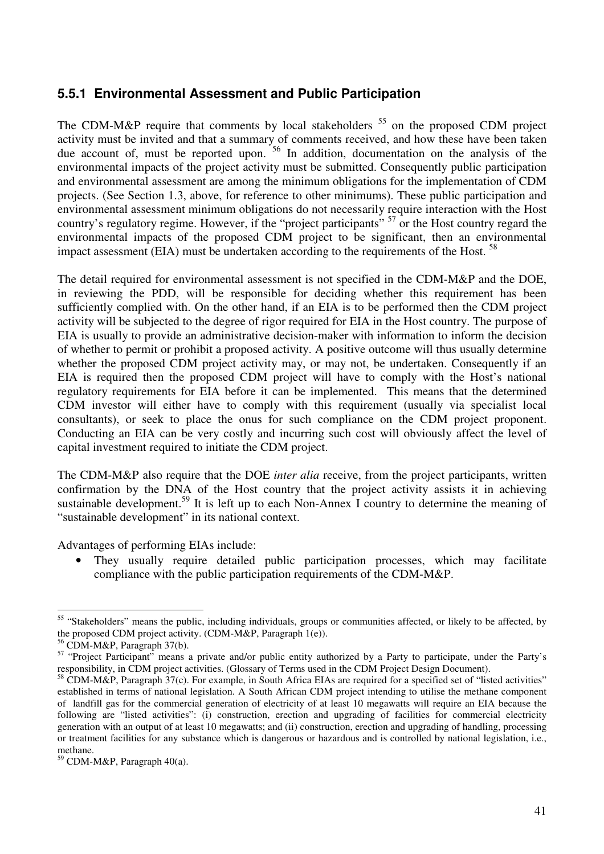#### **5.5.1 Environmental Assessment and Public Participation**

The CDM-M&P require that comments by local stakeholders  $55$  on the proposed CDM project activity must be invited and that a summary of comments received, and how these have been taken due account of, must be reported upon. <sup>56</sup> In addition, documentation on the analysis of the environmental impacts of the project activity must be submitted. Consequently public participation and environmental assessment are among the minimum obligations for the implementation of CDM projects. (See Section 1.3, above, for reference to other minimums). These public participation and environmental assessment minimum obligations do not necessarily require interaction with the Host country's regulatory regime. However, if the "project participants" <sup>57</sup> or the Host country regard the environmental impacts of the proposed CDM project to be significant, then an environmental impact assessment (EIA) must be undertaken according to the requirements of the Host.<sup>58</sup>

The detail required for environmental assessment is not specified in the CDM-M&P and the DOE, in reviewing the PDD, will be responsible for deciding whether this requirement has been sufficiently complied with. On the other hand, if an EIA is to be performed then the CDM project activity will be subjected to the degree of rigor required for EIA in the Host country. The purpose of EIA is usually to provide an administrative decision-maker with information to inform the decision of whether to permit or prohibit a proposed activity. A positive outcome will thus usually determine whether the proposed CDM project activity may, or may not, be undertaken. Consequently if an EIA is required then the proposed CDM project will have to comply with the Host's national regulatory requirements for EIA before it can be implemented. This means that the determined CDM investor will either have to comply with this requirement (usually via specialist local consultants), or seek to place the onus for such compliance on the CDM project proponent. Conducting an EIA can be very costly and incurring such cost will obviously affect the level of capital investment required to initiate the CDM project.

The CDM-M&P also require that the DOE *inter alia* receive, from the project participants, written confirmation by the DNA of the Host country that the project activity assists it in achieving sustainable development.<sup>59</sup> It is left up to each Non-Annex I country to determine the meaning of "sustainable development" in its national context.

Advantages of performing EIAs include:

They usually require detailed public participation processes, which may facilitate compliance with the public participation requirements of the CDM-M&P.

 $\overline{a}$ <sup>55</sup> "Stakeholders" means the public, including individuals, groups or communities affected, or likely to be affected, by the proposed CDM project activity. (CDM-M&P, Paragraph 1(e)).

<sup>56</sup> CDM-M&P, Paragraph 37(b).

<sup>&</sup>lt;sup>57</sup> "Project Participant" means a private and/or public entity authorized by a Party to participate, under the Party's responsibility, in CDM project activities. (Glossary of Terms used in the CDM Project Design Document).

 $58$  CDM-M&P, Paragraph 37(c). For example, in South Africa EIAs are required for a specified set of "listed activities" established in terms of national legislation. A South African CDM project intending to utilise the methane component of landfill gas for the commercial generation of electricity of at least 10 megawatts will require an EIA because the following are "listed activities": (i) construction, erection and upgrading of facilities for commercial electricity generation with an output of at least 10 megawatts; and (ii) construction, erection and upgrading of handling, processing or treatment facilities for any substance which is dangerous or hazardous and is controlled by national legislation, i.e., methane.

 $59$  CDM-M&P, Paragraph 40(a).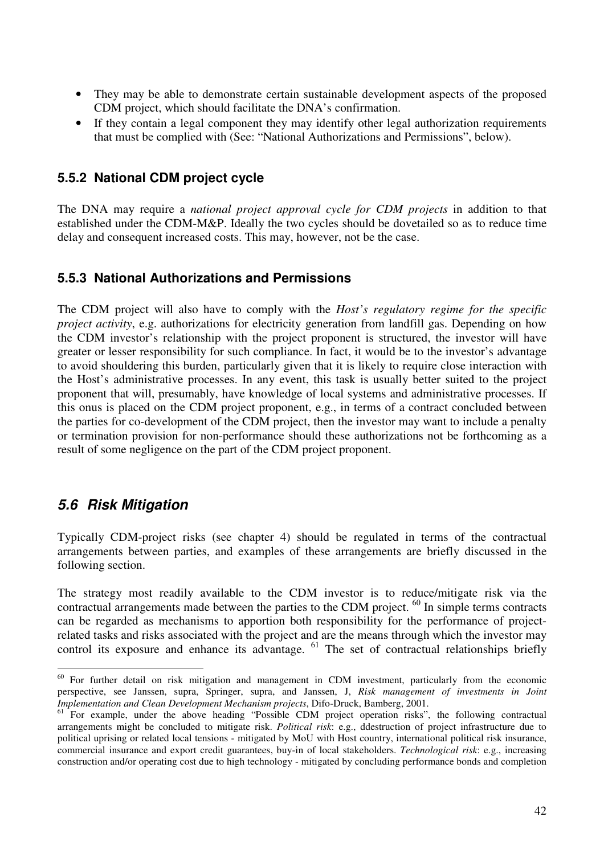- They may be able to demonstrate certain sustainable development aspects of the proposed CDM project, which should facilitate the DNA's confirmation.
- If they contain a legal component they may identify other legal authorization requirements that must be complied with (See: "National Authorizations and Permissions", below).

#### **5.5.2 National CDM project cycle**

The DNA may require a *national project approval cycle for CDM projects* in addition to that established under the CDM-M&P. Ideally the two cycles should be dovetailed so as to reduce time delay and consequent increased costs. This may, however, not be the case.

#### **5.5.3 National Authorizations and Permissions**

The CDM project will also have to comply with the *Host's regulatory regime for the specific project activity*, e.g. authorizations for electricity generation from landfill gas. Depending on how the CDM investor's relationship with the project proponent is structured, the investor will have greater or lesser responsibility for such compliance. In fact, it would be to the investor's advantage to avoid shouldering this burden, particularly given that it is likely to require close interaction with the Host's administrative processes. In any event, this task is usually better suited to the project proponent that will, presumably, have knowledge of local systems and administrative processes. If this onus is placed on the CDM project proponent, e.g., in terms of a contract concluded between the parties for co-development of the CDM project, then the investor may want to include a penalty or termination provision for non-performance should these authorizations not be forthcoming as a result of some negligence on the part of the CDM project proponent.

## **5.6 Risk Mitigation**

 $\overline{a}$ 

Typically CDM-project risks (see chapter 4) should be regulated in terms of the contractual arrangements between parties, and examples of these arrangements are briefly discussed in the following section.

The strategy most readily available to the CDM investor is to reduce/mitigate risk via the contractual arrangements made between the parties to the CDM project. <sup>60</sup> In simple terms contracts can be regarded as mechanisms to apportion both responsibility for the performance of projectrelated tasks and risks associated with the project and are the means through which the investor may control its exposure and enhance its advantage. <sup>61</sup> The set of contractual relationships briefly

<sup>&</sup>lt;sup>60</sup> For further detail on risk mitigation and management in CDM investment, particularly from the economic perspective, see Janssen, supra, Springer, supra, and Janssen, J, *Risk management of investments in Joint Implementation and Clean Development Mechanism projects*, Difo-Druck, Bamberg, 2001.

<sup>&</sup>lt;sup>61</sup> For example, under the above heading "Possible CDM project operation risks", the following contractual arrangements might be concluded to mitigate risk. *Political risk*: e.g., ddestruction of project infrastructure due to political uprising or related local tensions - mitigated by MoU with Host country, international political risk insurance, commercial insurance and export credit guarantees, buy-in of local stakeholders. *Technological risk*: e.g., increasing construction and/or operating cost due to high technology - mitigated by concluding performance bonds and completion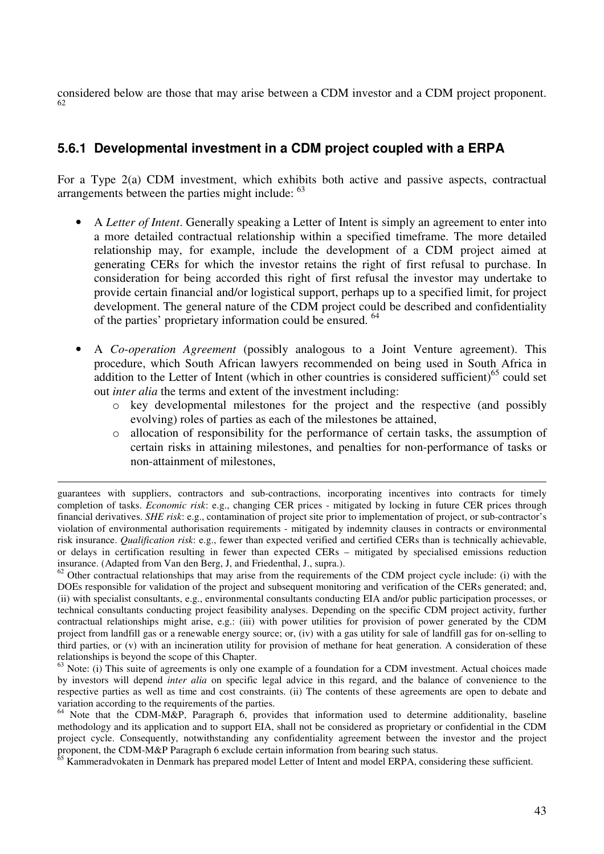considered below are those that may arise between a CDM investor and a CDM project proponent. 62

#### **5.6.1 Developmental investment in a CDM project coupled with a ERPA**

For a Type 2(a) CDM investment, which exhibits both active and passive aspects, contractual arrangements between the parties might include: <sup>63</sup>

- A *Letter of Intent*. Generally speaking a Letter of Intent is simply an agreement to enter into a more detailed contractual relationship within a specified timeframe. The more detailed relationship may, for example, include the development of a CDM project aimed at generating CERs for which the investor retains the right of first refusal to purchase. In consideration for being accorded this right of first refusal the investor may undertake to provide certain financial and/or logistical support, perhaps up to a specified limit, for project development. The general nature of the CDM project could be described and confidentiality of the parties' proprietary information could be ensured. <sup>64</sup>
- A *Co-operation Agreement* (possibly analogous to a Joint Venture agreement). This procedure, which South African lawyers recommended on being used in South Africa in addition to the Letter of Intent (which in other countries is considered sufficient)<sup>65</sup> could set out *inter alia* the terms and extent of the investment including:
	- o key developmental milestones for the project and the respective (and possibly evolving) roles of parties as each of the milestones be attained,
	- o allocation of responsibility for the performance of certain tasks, the assumption of certain risks in attaining milestones, and penalties for non-performance of tasks or non-attainment of milestones,

l

 $62$  Other contractual relationships that may arise from the requirements of the CDM project cycle include: (i) with the DOEs responsible for validation of the project and subsequent monitoring and verification of the CERs generated; and, (ii) with specialist consultants, e.g., environmental consultants conducting EIA and/or public participation processes, or technical consultants conducting project feasibility analyses. Depending on the specific CDM project activity, further contractual relationships might arise, e.g.: (iii) with power utilities for provision of power generated by the CDM project from landfill gas or a renewable energy source; or, (iv) with a gas utility for sale of landfill gas for on-selling to third parties, or (v) with an incineration utility for provision of methane for heat generation. A consideration of these relationships is beyond the scope of this Chapter.

 $63$  Note: (i) This suite of agreements is only one example of a foundation for a CDM investment. Actual choices made by investors will depend *inter alia* on specific legal advice in this regard, and the balance of convenience to the respective parties as well as time and cost constraints. (ii) The contents of these agreements are open to debate and variation according to the requirements of the parties.

<sup>64</sup> Note that the CDM-M&P, Paragraph 6, provides that information used to determine additionality, baseline methodology and its application and to support EIA, shall not be considered as proprietary or confidential in the CDM project cycle. Consequently, notwithstanding any confidentiality agreement between the investor and the project proponent, the CDM-M&P Paragraph 6 exclude certain information from bearing such status.

 $65$  Kammeradvokaten in Denmark has prepared model Letter of Intent and model ERPA, considering these sufficient.

guarantees with suppliers, contractors and sub-contractions, incorporating incentives into contracts for timely completion of tasks. *Economic risk*: e.g., changing CER prices - mitigated by locking in future CER prices through financial derivatives. *SHE risk*: e.g., contamination of project site prior to implementation of project, or sub-contractor's violation of environmental authorisation requirements - mitigated by indemnity clauses in contracts or environmental risk insurance. *Qualification risk*: e.g., fewer than expected verified and certified CERs than is technically achievable, or delays in certification resulting in fewer than expected CERs – mitigated by specialised emissions reduction insurance. (Adapted from Van den Berg, J, and Friedenthal, J., supra.).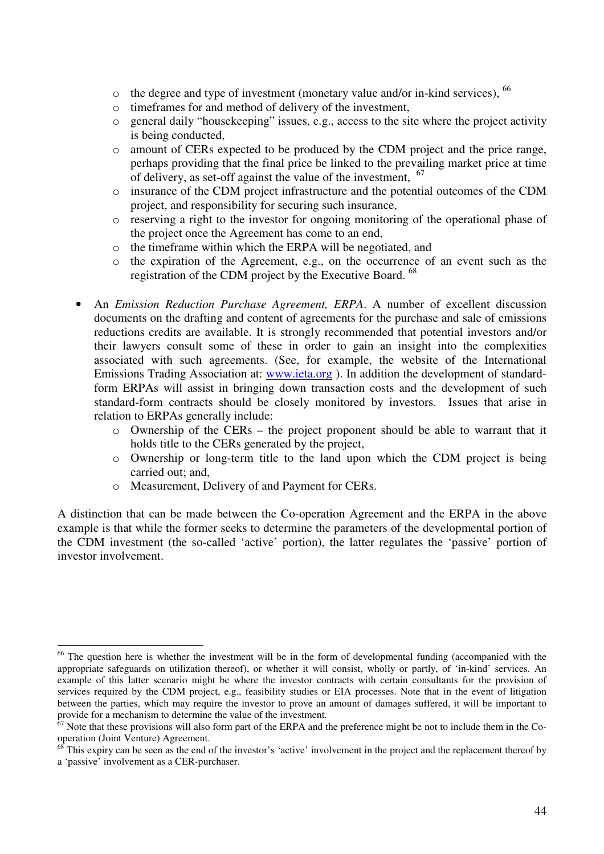- $\circ$  the degree and type of investment (monetary value and/or in-kind services),  $^{66}$
- o timeframes for and method of delivery of the investment,
- general daily "housekeeping" issues, e.g., access to the site where the project activity is being conducted,
- o amount of CERs expected to be produced by the CDM project and the price range, perhaps providing that the final price be linked to the prevailing market price at time of delivery, as set-off against the value of the investment, <sup>67</sup>
- o insurance of the CDM project infrastructure and the potential outcomes of the CDM project, and responsibility for securing such insurance,
- o reserving a right to the investor for ongoing monitoring of the operational phase of the project once the Agreement has come to an end,
- the timeframe within which the ERPA will be negotiated, and
- o the expiration of the Agreement, e.g., on the occurrence of an event such as the registration of the CDM project by the Executive Board. <sup>68</sup>
- An *Emission Reduction Purchase Agreement, ERPA*. A number of excellent discussion documents on the drafting and content of agreements for the purchase and sale of emissions reductions credits are available. It is strongly recommended that potential investors and/or their lawyers consult some of these in order to gain an insight into the complexities associated with such agreements. (See, for example, the website of the International Emissions Trading Association at: www.ieta.org ). In addition the development of standardform ERPAs will assist in bringing down transaction costs and the development of such standard-form contracts should be closely monitored by investors. Issues that arise in relation to ERPAs generally include:
	- o Ownership of the CERs the project proponent should be able to warrant that it holds title to the CERs generated by the project,
	- o Ownership or long-term title to the land upon which the CDM project is being carried out; and,
	- o Measurement, Delivery of and Payment for CERs.

A distinction that can be made between the Co-operation Agreement and the ERPA in the above example is that while the former seeks to determine the parameters of the developmental portion of the CDM investment (the so-called 'active' portion), the latter regulates the 'passive' portion of investor involvement.

 $\overline{a}$ <sup>66</sup> The question here is whether the investment will be in the form of developmental funding (accompanied with the appropriate safeguards on utilization thereof), or whether it will consist, wholly or partly, of 'in-kind' services. An example of this latter scenario might be where the investor contracts with certain consultants for the provision of services required by the CDM project, e.g., feasibility studies or EIA processes. Note that in the event of litigation between the parties, which may require the investor to prove an amount of damages suffered, it will be important to provide for a mechanism to determine the value of the investment.

 $67$  Note that these provisions will also form part of the ERPA and the preference might be not to include them in the Cooperation (Joint Venture) Agreement.

 $68$  This expiry can be seen as the end of the investor's 'active' involvement in the project and the replacement thereof by a 'passive' involvement as a CER-purchaser.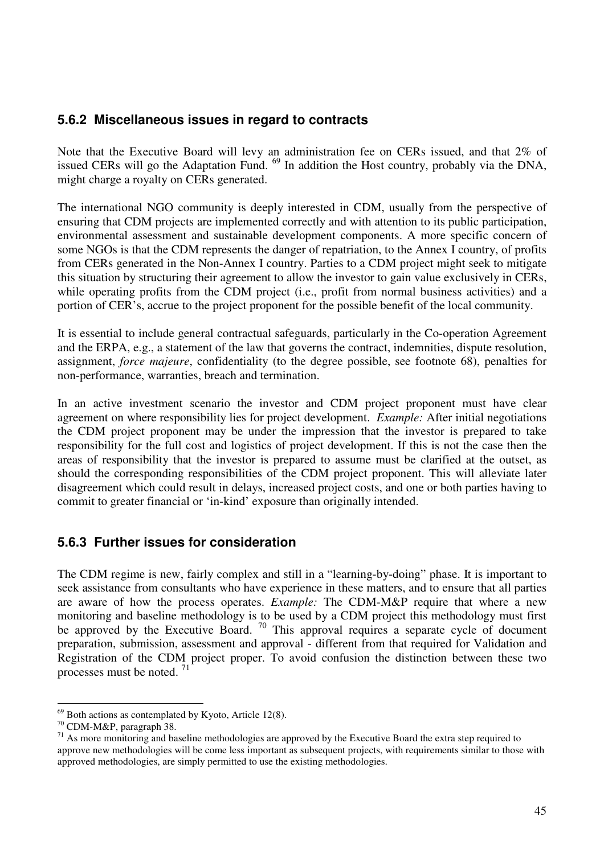#### **5.6.2 Miscellaneous issues in regard to contracts**

Note that the Executive Board will levy an administration fee on CERs issued, and that 2% of issued CERs will go the Adaptation Fund. <sup>69</sup> In addition the Host country, probably via the DNA, might charge a royalty on CERs generated.

The international NGO community is deeply interested in CDM, usually from the perspective of ensuring that CDM projects are implemented correctly and with attention to its public participation, environmental assessment and sustainable development components. A more specific concern of some NGOs is that the CDM represents the danger of repatriation, to the Annex I country, of profits from CERs generated in the Non-Annex I country. Parties to a CDM project might seek to mitigate this situation by structuring their agreement to allow the investor to gain value exclusively in CERs, while operating profits from the CDM project (i.e., profit from normal business activities) and a portion of CER's, accrue to the project proponent for the possible benefit of the local community.

It is essential to include general contractual safeguards, particularly in the Co-operation Agreement and the ERPA, e.g., a statement of the law that governs the contract, indemnities, dispute resolution, assignment, *force majeure*, confidentiality (to the degree possible, see footnote 68), penalties for non-performance, warranties, breach and termination.

In an active investment scenario the investor and CDM project proponent must have clear agreement on where responsibility lies for project development. *Example:* After initial negotiations the CDM project proponent may be under the impression that the investor is prepared to take responsibility for the full cost and logistics of project development. If this is not the case then the areas of responsibility that the investor is prepared to assume must be clarified at the outset, as should the corresponding responsibilities of the CDM project proponent. This will alleviate later disagreement which could result in delays, increased project costs, and one or both parties having to commit to greater financial or 'in-kind' exposure than originally intended.

#### **5.6.3 Further issues for consideration**

The CDM regime is new, fairly complex and still in a "learning-by-doing" phase. It is important to seek assistance from consultants who have experience in these matters, and to ensure that all parties are aware of how the process operates. *Example:* The CDM-M&P require that where a new monitoring and baseline methodology is to be used by a CDM project this methodology must first be approved by the Executive Board.  $\frac{70}{2}$  This approval requires a separate cycle of document preparation, submission, assessment and approval - different from that required for Validation and Registration of the CDM project proper. To avoid confusion the distinction between these two processes must be noted. <sup>71</sup>

 $\overline{a}$ 

 $69$  Both actions as contemplated by Kyoto, Article 12(8).

<sup>70</sup> CDM-M&P, paragraph 38.

<sup>&</sup>lt;sup>71</sup> As more monitoring and baseline methodologies are approved by the Executive Board the extra step required to approve new methodologies will be come less important as subsequent projects, with requirements similar to those with approved methodologies, are simply permitted to use the existing methodologies.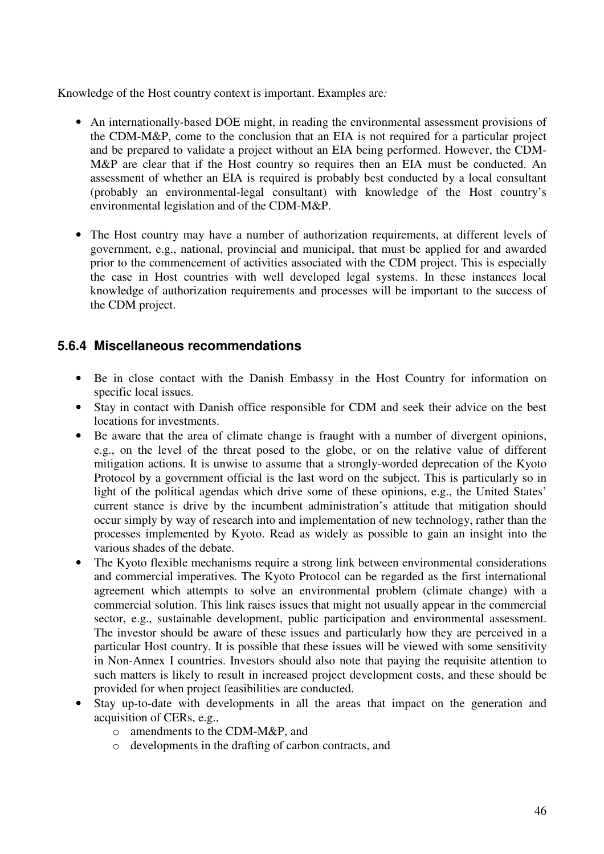Knowledge of the Host country context is important. Examples are*:* 

- An internationally-based DOE might, in reading the environmental assessment provisions of the CDM-M&P, come to the conclusion that an EIA is not required for a particular project and be prepared to validate a project without an EIA being performed. However, the CDM-M&P are clear that if the Host country so requires then an EIA must be conducted. An assessment of whether an EIA is required is probably best conducted by a local consultant (probably an environmental-legal consultant) with knowledge of the Host country's environmental legislation and of the CDM-M&P.
- The Host country may have a number of authorization requirements, at different levels of government, e.g., national, provincial and municipal, that must be applied for and awarded prior to the commencement of activities associated with the CDM project. This is especially the case in Host countries with well developed legal systems. In these instances local knowledge of authorization requirements and processes will be important to the success of the CDM project.

#### **5.6.4 Miscellaneous recommendations**

- Be in close contact with the Danish Embassy in the Host Country for information on specific local issues.
- Stay in contact with Danish office responsible for CDM and seek their advice on the best locations for investments.
- Be aware that the area of climate change is fraught with a number of divergent opinions, e.g., on the level of the threat posed to the globe, or on the relative value of different mitigation actions. It is unwise to assume that a strongly-worded deprecation of the Kyoto Protocol by a government official is the last word on the subject. This is particularly so in light of the political agendas which drive some of these opinions, e.g., the United States' current stance is drive by the incumbent administration's attitude that mitigation should occur simply by way of research into and implementation of new technology, rather than the processes implemented by Kyoto. Read as widely as possible to gain an insight into the various shades of the debate.
- The Kyoto flexible mechanisms require a strong link between environmental considerations and commercial imperatives. The Kyoto Protocol can be regarded as the first international agreement which attempts to solve an environmental problem (climate change) with a commercial solution. This link raises issues that might not usually appear in the commercial sector, e.g., sustainable development, public participation and environmental assessment. The investor should be aware of these issues and particularly how they are perceived in a particular Host country. It is possible that these issues will be viewed with some sensitivity in Non-Annex I countries. Investors should also note that paying the requisite attention to such matters is likely to result in increased project development costs, and these should be provided for when project feasibilities are conducted.
- Stay up-to-date with developments in all the areas that impact on the generation and acquisition of CERs, e.g.,
	- o amendments to the CDM-M&P, and
	- o developments in the drafting of carbon contracts, and